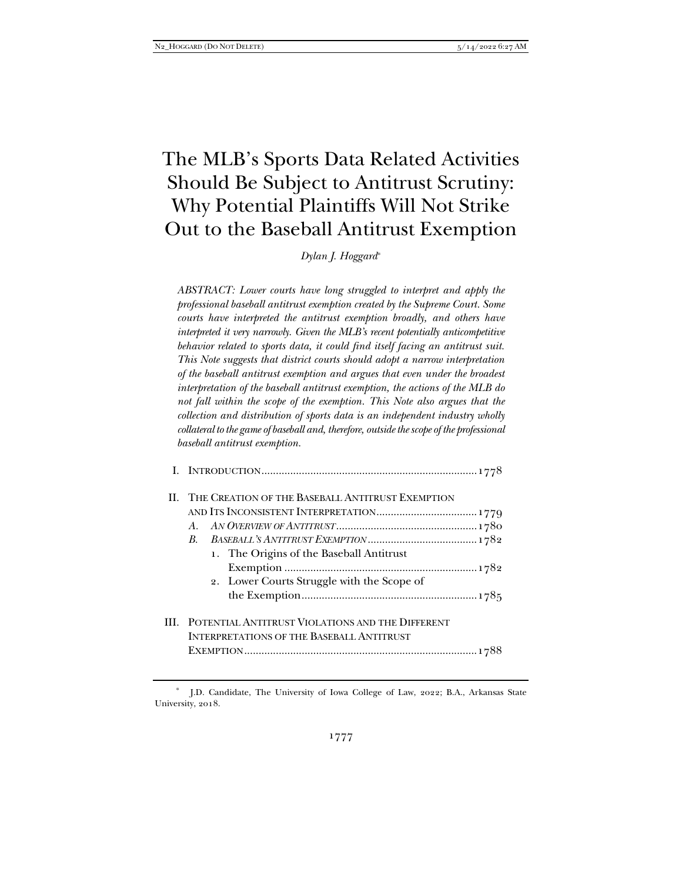# The MLB's Sports Data Related Activities Should Be Subject to Antitrust Scrutiny: Why Potential Plaintiffs Will Not Strike Out to the Baseball Antitrust Exemption

*Dylan J. Hoggard*\*

*ABSTRACT: Lower courts have long struggled to interpret and apply the professional baseball antitrust exemption created by the Supreme Court. Some courts have interpreted the antitrust exemption broadly, and others have interpreted it very narrowly. Given the MLB's recent potentially anticompetitive behavior related to sports data, it could find itself facing an antitrust suit. This Note suggests that district courts should adopt a narrow interpretation of the baseball antitrust exemption and argues that even under the broadest interpretation of the baseball antitrust exemption, the actions of the MLB do not fall within the scope of the exemption. This Note also argues that the collection and distribution of sports data is an independent industry wholly collateral to the game of baseball and, therefore, outside the scope of the professional baseball antitrust exemption.* 

| II. THE CREATION OF THE BASEBALL ANTITRUST EXEMPTION<br>$A_{-}$<br>$R_{\cdot}$<br>1. The Origins of the Baseball Antitrust<br>2. Lower Courts Struggle with the Scope of |
|--------------------------------------------------------------------------------------------------------------------------------------------------------------------------|
| <b>III. POTENTIAL ANTITRUST VIOLATIONS AND THE DIFFERENT</b><br><b>INTERPRETATIONS OF THE BASEBALL ANTITRUST</b>                                                         |

J.D. Candidate, The University of Iowa College of Law, 2022; B.A., Arkansas State University, 2018.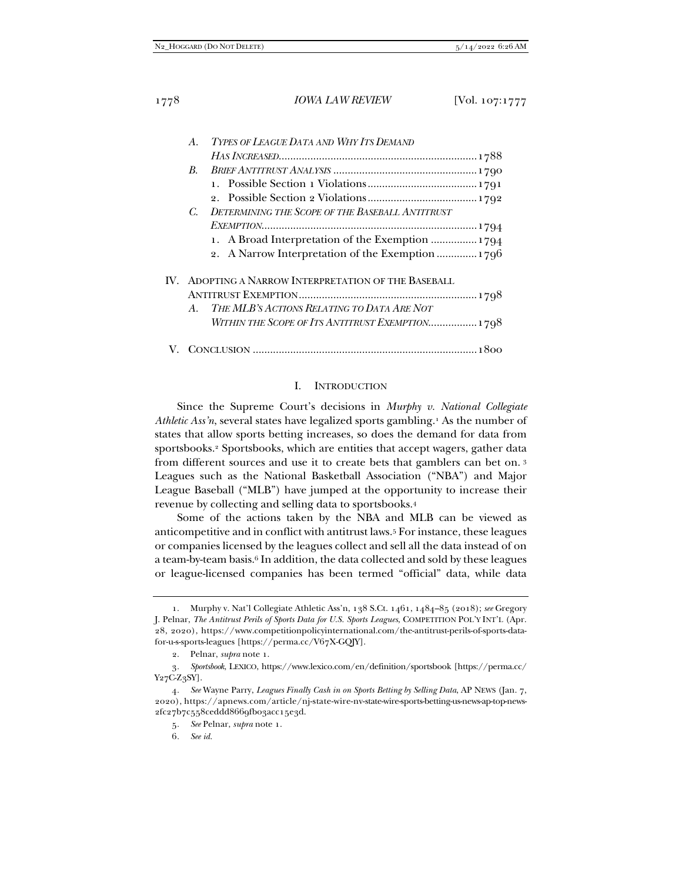| $A_{-}$     | TYPES OF LEAGUE DATA AND WHY ITS DEMAND              |  |
|-------------|------------------------------------------------------|--|
|             |                                                      |  |
| $B_{\cdot}$ |                                                      |  |
|             |                                                      |  |
|             |                                                      |  |
|             | C. DETERMINING THE SCOPE OF THE BASEBALL ANTITRUST   |  |
|             |                                                      |  |
|             | 1. A Broad Interpretation of the Exemption  1794     |  |
|             | 2. A Narrow Interpretation of the Exemption  1796    |  |
|             | IV. ADOPTING A NARROW INTERPRETATION OF THE BASEBALL |  |
|             |                                                      |  |
| A.          | THE MLB'S ACTIONS RELATING TO DATA ARE NOT           |  |
|             | WITHIN THE SCOPE OF ITS ANTITRUST EXEMPTION 1798     |  |
|             |                                                      |  |

#### I. INTRODUCTION

Since the Supreme Court's decisions in *Murphy v. National Collegiate Athletic Ass'n*, several states have legalized sports gambling.1 As the number of states that allow sports betting increases, so does the demand for data from sportsbooks.2 Sportsbooks, which are entities that accept wagers, gather data from different sources and use it to create bets that gamblers can bet on. <sup>3</sup> Leagues such as the National Basketball Association ("NBA") and Major League Baseball ("MLB") have jumped at the opportunity to increase their revenue by collecting and selling data to sportsbooks.4

Some of the actions taken by the NBA and MLB can be viewed as anticompetitive and in conflict with antitrust laws.5 For instance, these leagues or companies licensed by the leagues collect and sell all the data instead of on a team-by-team basis.<sup>6</sup> In addition, the data collected and sold by these leagues or league-licensed companies has been termed "official" data, while data

 <sup>1.</sup> Murphy v. Nat'l Collegiate Athletic Ass'n, 138 S.Ct. 1461, 1484–85 (2018); *see* Gregory J. Pelnar, *The Antitrust Perils of Sports Data for U.S. Sports Leagues*, COMPETITION POL'Y INT'L (Apr. 28, 2020), https://www.competitionpolicyinternational.com/the-antitrust-perils-of-sports-datafor-u-s-sports-leagues [https://perma.cc/V67X-GQJY].

 <sup>2.</sup> Pelnar, *supra* note 1.

<sup>3</sup>*. Sportsbook*, LEXICO, https://www.lexico.com/en/definition/sportsbook [https://perma.cc/ Y27C-Z3SY].

<sup>4</sup>*. See* Wayne Parry, *Leagues Finally Cash in on Sports Betting by Selling Data*, AP NEWS (Jan. 7, 2020), https://apnews.com/article/nj-state-wire-nv-state-wire-sports-betting-us-news-ap-top-news-2fc27b7c558ceddd8669fb03acc15e3d.

<sup>5</sup>*. See* Pelnar, *supra* note 1.

<sup>6</sup>*. See id.*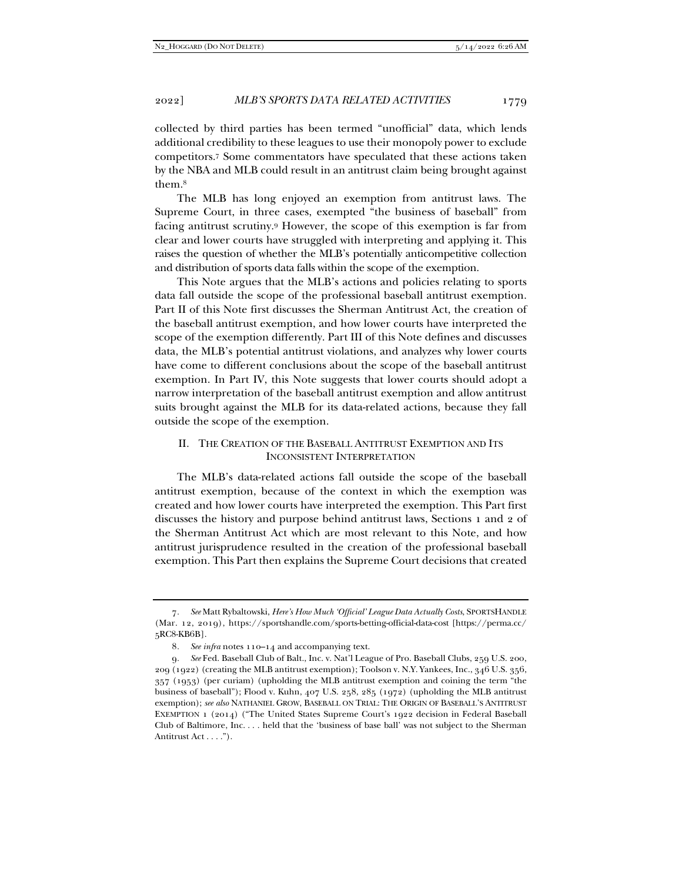collected by third parties has been termed "unofficial" data, which lends additional credibility to these leagues to use their monopoly power to exclude competitors.7 Some commentators have speculated that these actions taken by the NBA and MLB could result in an antitrust claim being brought against them.8

The MLB has long enjoyed an exemption from antitrust laws. The Supreme Court, in three cases, exempted "the business of baseball" from facing antitrust scrutiny.9 However, the scope of this exemption is far from clear and lower courts have struggled with interpreting and applying it. This raises the question of whether the MLB's potentially anticompetitive collection and distribution of sports data falls within the scope of the exemption.

This Note argues that the MLB's actions and policies relating to sports data fall outside the scope of the professional baseball antitrust exemption. Part II of this Note first discusses the Sherman Antitrust Act, the creation of the baseball antitrust exemption, and how lower courts have interpreted the scope of the exemption differently. Part III of this Note defines and discusses data, the MLB's potential antitrust violations, and analyzes why lower courts have come to different conclusions about the scope of the baseball antitrust exemption. In Part IV, this Note suggests that lower courts should adopt a narrow interpretation of the baseball antitrust exemption and allow antitrust suits brought against the MLB for its data-related actions, because they fall outside the scope of the exemption.

# II. THE CREATION OF THE BASEBALL ANTITRUST EXEMPTION AND ITS INCONSISTENT INTERPRETATION

The MLB's data-related actions fall outside the scope of the baseball antitrust exemption, because of the context in which the exemption was created and how lower courts have interpreted the exemption. This Part first discusses the history and purpose behind antitrust laws, Sections 1 and 2 of the Sherman Antitrust Act which are most relevant to this Note, and how antitrust jurisprudence resulted in the creation of the professional baseball exemption. This Part then explains the Supreme Court decisions that created

<sup>7</sup>*. See* Matt Rybaltowski, *Here's How Much 'Official' League Data Actually Costs*, SPORTSHANDLE (Mar. 12, 2019), https://sportshandle.com/sports-betting-official-data-cost [https://perma.cc/ 5RC8-KB6B].

<sup>8</sup>*. See infra* notes 110–14 and accompanying text.

<sup>9</sup>*. See* Fed. Baseball Club of Balt., Inc. v. Nat'l League of Pro. Baseball Clubs, 259 U.S. 200, 209 (1922) (creating the MLB antitrust exemption); Toolson v. N.Y. Yankees, Inc., 346 U.S. 356, 357 (1953) (per curiam) (upholding the MLB antitrust exemption and coining the term "the business of baseball"); Flood v. Kuhn, 407 U.S. 258, 285 (1972) (upholding the MLB antitrust exemption); *see also* NATHANIEL GROW, BASEBALL ON TRIAL: THE ORIGIN OF BASEBALL'S ANTITRUST EXEMPTION 1 (2014) ("The United States Supreme Court's 1922 decision in Federal Baseball Club of Baltimore, Inc. . . . held that the 'business of base ball' was not subject to the Sherman Antitrust Act . . . .").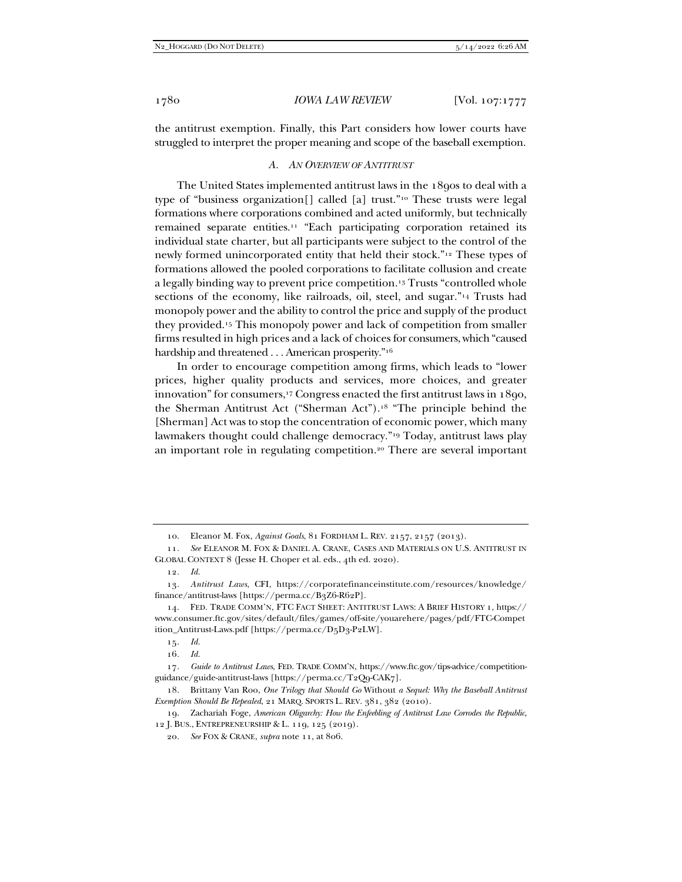the antitrust exemption. Finally, this Part considers how lower courts have struggled to interpret the proper meaning and scope of the baseball exemption.

#### *A. AN OVERVIEW OF ANTITRUST*

The United States implemented antitrust laws in the 1890s to deal with a type of "business organization[] called [a] trust."10 These trusts were legal formations where corporations combined and acted uniformly, but technically remained separate entities.11 "Each participating corporation retained its individual state charter, but all participants were subject to the control of the newly formed unincorporated entity that held their stock."12 These types of formations allowed the pooled corporations to facilitate collusion and create a legally binding way to prevent price competition.13 Trusts "controlled whole sections of the economy, like railroads, oil, steel, and sugar."14 Trusts had monopoly power and the ability to control the price and supply of the product they provided.15 This monopoly power and lack of competition from smaller firms resulted in high prices and a lack of choices for consumers, which "caused hardship and threatened . . . American prosperity."16

In order to encourage competition among firms, which leads to "lower prices, higher quality products and services, more choices, and greater innovation" for consumers,<sup>17</sup> Congress enacted the first antitrust laws in 1890, the Sherman Antitrust Act ("Sherman Act").18 "The principle behind the [Sherman] Act was to stop the concentration of economic power, which many lawmakers thought could challenge democracy."19 Today, antitrust laws play an important role in regulating competition.20 There are several important

15*. Id.*

16*. Id.*

 <sup>10.</sup> Eleanor M. Fox, *Against Goals*, 81 FORDHAM L. REV. 2157, 2157 (2013).

<sup>11</sup>*. See* ELEANOR M. FOX & DANIEL A. CRANE, CASES AND MATERIALS ON U.S. ANTITRUST IN GLOBAL CONTEXT 8 (Jesse H. Choper et al. eds., 4th ed. 2020).

<sup>12</sup>*. Id.*

<sup>13</sup>*. Antitrust Laws*, CFI, https://corporatefinanceinstitute.com/resources/knowledge/ finance/antitrust-laws [https://perma.cc/B3Z6-R62P].

 <sup>14.</sup> FED. TRADE COMM'N, FTC FACT SHEET: ANTITRUST LAWS: A BRIEF HISTORY 1, https:// www.consumer.ftc.gov/sites/default/files/games/off-site/youarehere/pages/pdf/FTC-Compet ition\_Antitrust-Laws.pdf [https://perma.cc/D5D3-P2LW].

<sup>17</sup>*. Guide to Antitrust Laws*, FED. TRADE COMM'N, https://www.ftc.gov/tips-advice/competitionguidance/guide-antitrust-laws [https://perma.cc/T2Q9-CAK7].

 <sup>18.</sup> Brittany Van Roo, *One Trilogy that Should Go* Without *a Sequel: Why the Baseball Antitrust Exemption Should Be Repealed*, 21 MARQ. SPORTS L. REV. 381, 382 (2010).

 <sup>19.</sup> Zachariah Foge, *American Oligarchy: How the Enfeebling of Antitrust Law Corrodes the Republic*, 12 J. BUS., ENTREPRENEURSHIP & L. 119, 125 (2019).

<sup>20</sup>*. See* FOX & CRANE, *supra* note 11, at 806.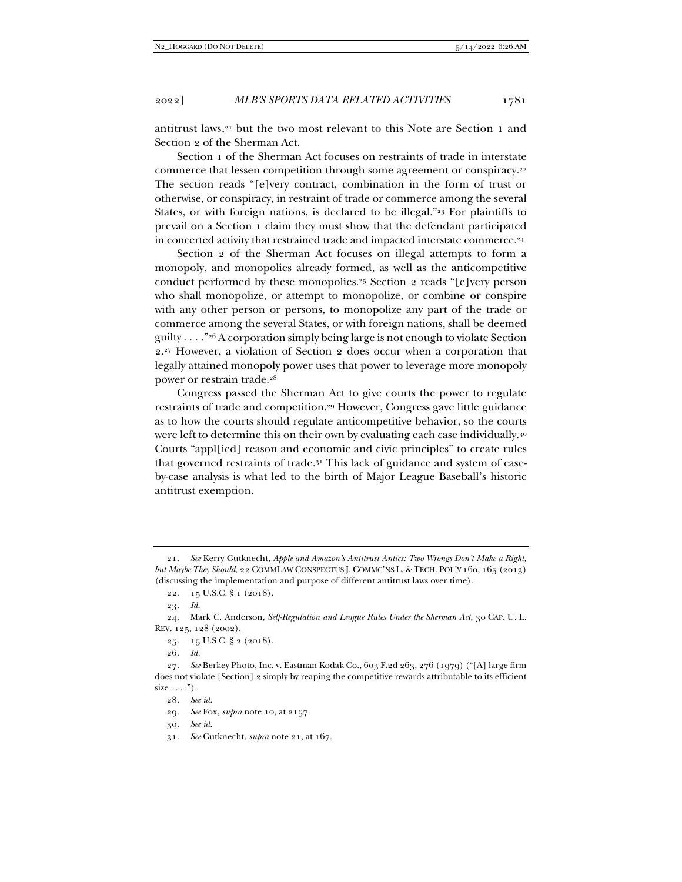antitrust laws,21 but the two most relevant to this Note are Section 1 and Section 2 of the Sherman Act.

Section 1 of the Sherman Act focuses on restraints of trade in interstate commerce that lessen competition through some agreement or conspiracy.22 The section reads "[e]very contract, combination in the form of trust or otherwise, or conspiracy, in restraint of trade or commerce among the several States, or with foreign nations, is declared to be illegal."<sup>23</sup> For plaintiffs to prevail on a Section 1 claim they must show that the defendant participated in concerted activity that restrained trade and impacted interstate commerce.<sup>24</sup>

Section 2 of the Sherman Act focuses on illegal attempts to form a monopoly, and monopolies already formed, as well as the anticompetitive conduct performed by these monopolies.25 Section 2 reads "[e]very person who shall monopolize, or attempt to monopolize, or combine or conspire with any other person or persons, to monopolize any part of the trade or commerce among the several States, or with foreign nations, shall be deemed guilty . . . . "26 A corporation simply being large is not enough to violate Section 2.27 However, a violation of Section 2 does occur when a corporation that legally attained monopoly power uses that power to leverage more monopoly power or restrain trade.28

Congress passed the Sherman Act to give courts the power to regulate restraints of trade and competition.29 However, Congress gave little guidance as to how the courts should regulate anticompetitive behavior, so the courts were left to determine this on their own by evaluating each case individually.<sup>30</sup> Courts "appl[ied] reason and economic and civic principles" to create rules that governed restraints of trade.31 This lack of guidance and system of caseby-case analysis is what led to the birth of Major League Baseball's historic antitrust exemption.

30*. See id.*

<sup>21</sup>*. See* Kerry Gutknecht, *Apple and Amazon's Antitrust Antics: Two Wrongs Don't Make a Right, but Maybe They Should*, 22 COMMLAW CONSPECTUS J. COMMC'NS L. & TECH. POL'Y 160, 165 (2013) (discussing the implementation and purpose of different antitrust laws over time).

 <sup>22. 15</sup> U.S.C. § 1 (2018).

<sup>23</sup>*. Id.*

 <sup>24.</sup> Mark C. Anderson, *Self-Regulation and League Rules Under the Sherman Act*, 30 CAP. U. L. REV. 125, 128 (2002).

 <sup>25. 15</sup> U.S.C. § 2 (2018).

<sup>26</sup>*. Id.*

<sup>27</sup>*. See* Berkey Photo, Inc. v. Eastman Kodak Co., 603 F.2d 263, 276 (1979) ("[A] large firm does not violate [Section] 2 simply by reaping the competitive rewards attributable to its efficient  $size \dots$ ").

<sup>28</sup>*. See id.*

<sup>29</sup>*. See* Fox, *supra* note 10, at 2157.

<sup>31</sup>*. See* Gutknecht, *supra* note 21, at 167.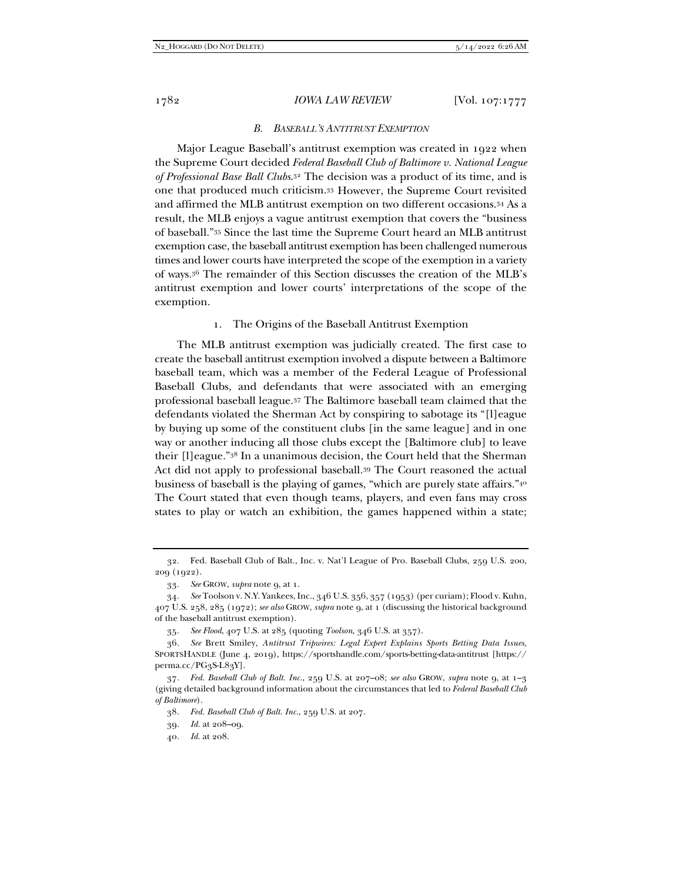#### 1782 *IOWA LAW REVIEW* [Vol. 107:1777

#### *B. BASEBALL'S ANTITRUST EXEMPTION*

Major League Baseball's antitrust exemption was created in 1922 when the Supreme Court decided *Federal Baseball Club of Baltimore v. National League of Professional Base Ball Clubs*.32 The decision was a product of its time, and is one that produced much criticism.33 However, the Supreme Court revisited and affirmed the MLB antitrust exemption on two different occasions.34 As a result, the MLB enjoys a vague antitrust exemption that covers the "business of baseball."35 Since the last time the Supreme Court heard an MLB antitrust exemption case, the baseball antitrust exemption has been challenged numerous times and lower courts have interpreted the scope of the exemption in a variety of ways.36 The remainder of this Section discusses the creation of the MLB's antitrust exemption and lower courts' interpretations of the scope of the exemption.

#### 1. The Origins of the Baseball Antitrust Exemption

The MLB antitrust exemption was judicially created. The first case to create the baseball antitrust exemption involved a dispute between a Baltimore baseball team, which was a member of the Federal League of Professional Baseball Clubs, and defendants that were associated with an emerging professional baseball league.37 The Baltimore baseball team claimed that the defendants violated the Sherman Act by conspiring to sabotage its "[l]eague by buying up some of the constituent clubs [in the same league] and in one way or another inducing all those clubs except the [Baltimore club] to leave their [l]eague."38 In a unanimous decision, the Court held that the Sherman Act did not apply to professional baseball.39 The Court reasoned the actual business of baseball is the playing of games, "which are purely state affairs."40 The Court stated that even though teams, players, and even fans may cross states to play or watch an exhibition, the games happened within a state;

 <sup>32.</sup> Fed. Baseball Club of Balt., Inc. v. Nat'l League of Pro. Baseball Clubs, 259 U.S. 200, 209 (1922).

<sup>33</sup>*. See* GROW, *supra* note 9, at 1.

<sup>34</sup>*. See* Toolson v. N.Y. Yankees, Inc., 346 U.S. 356, 357 (1953) (per curiam); Flood v. Kuhn, 407 U.S. 258, 285 (1972); *see also* GROW, *supra* note 9, at 1 (discussing the historical background of the baseball antitrust exemption).

<sup>35</sup>*. See Flood*, 407 U.S. at 285 (quoting *Toolson*, 346 U.S. at 357).

<sup>36</sup>*. See* Brett Smiley, *Antitrust Tripwires: Legal Expert Explains Sports Betting Data Issues*, SPORTSHANDLE (June 4, 2019), https://sportshandle.com/sports-betting-data-antitrust [https:// perma.cc/PG3S-L83Y].

<sup>37</sup>*. Fed. Baseball Club of Balt. Inc.*, 259 U.S. at 207–08; *see also* GROW, *supra* note 9, at 1–3 (giving detailed background information about the circumstances that led to *Federal Baseball Club of Baltimore*).

<sup>38</sup>*. Fed. Baseball Club of Balt. Inc.*, 259 U.S. at 207.

<sup>39</sup>*. Id.* at 208–09.

<sup>40</sup>*. Id.* at 208.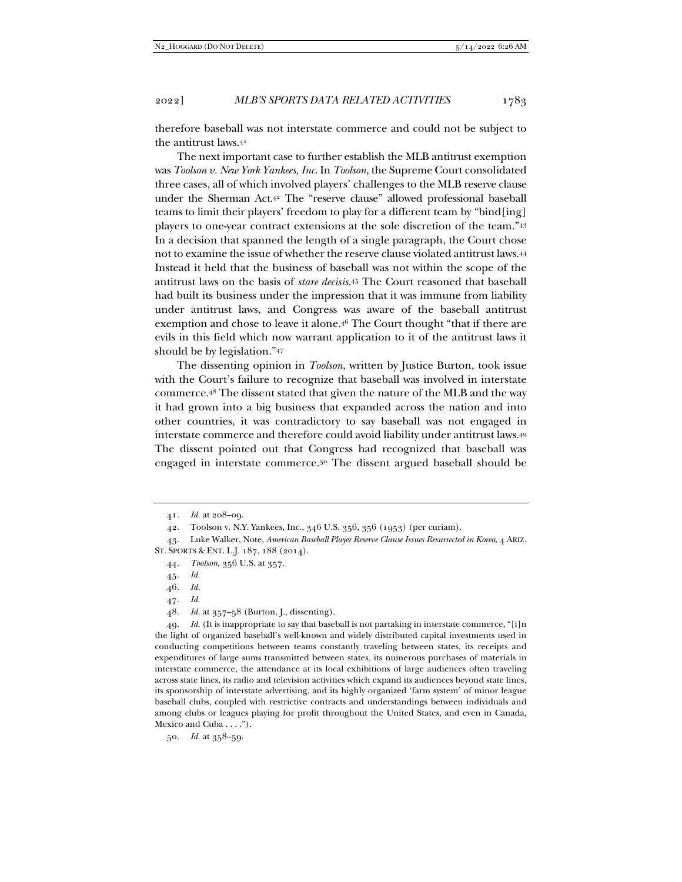therefore baseball was not interstate commerce and could not be subject to the antitrust laws.41

The next important case to further establish the MLB antitrust exemption was *Toolson v. New York Yankees, Inc*. In *Toolson*, the Supreme Court consolidated three cases, all of which involved players' challenges to the MLB reserve clause under the Sherman Act.42 The "reserve clause" allowed professional baseball teams to limit their players' freedom to play for a different team by "bind[ing] players to one-year contract extensions at the sole discretion of the team."43 In a decision that spanned the length of a single paragraph, the Court chose not to examine the issue of whether the reserve clause violated antitrust laws.44 Instead it held that the business of baseball was not within the scope of the antitrust laws on the basis of *stare decisis*. 45 The Court reasoned that baseball had built its business under the impression that it was immune from liability under antitrust laws, and Congress was aware of the baseball antitrust exemption and chose to leave it alone.46 The Court thought "that if there are evils in this field which now warrant application to it of the antitrust laws it should be by legislation."47

The dissenting opinion in *Toolson*, written by Justice Burton, took issue with the Court's failure to recognize that baseball was involved in interstate commerce.48 The dissent stated that given the nature of the MLB and the way it had grown into a big business that expanded across the nation and into other countries, it was contradictory to say baseball was not engaged in interstate commerce and therefore could avoid liability under antitrust laws.49 The dissent pointed out that Congress had recognized that baseball was engaged in interstate commerce.50 The dissent argued baseball should be

47*. Id.*

49*. Id.* (It is inappropriate to say that baseball is not partaking in interstate commerce, "[i]n the light of organized baseball's well-known and widely distributed capital investments used in conducting competitions between teams constantly traveling between states, its receipts and expenditures of large sums transmitted between states, its numerous purchases of materials in interstate commerce, the attendance at its local exhibitions of large audiences often traveling across state lines, its radio and television activities which expand its audiences beyond state lines, its sponsorship of interstate advertising, and its highly organized 'farm system' of minor league baseball clubs, coupled with restrictive contracts and understandings between individuals and among clubs or leagues playing for profit throughout the United States, and even in Canada, Mexico and Cuba . . . .").

50*. Id.* at 358–59.

<sup>41</sup>*. Id.* at 208–09.

 <sup>42.</sup> Toolson v. N.Y. Yankees, Inc., 346 U.S. 356, 356 (1953) (per curiam).

 <sup>43.</sup> Luke Walker, Note, *American Baseball Player Reserve Clause Issues Resurrected in Korea*, 4 ARIZ. ST. SPORTS & ENT. L.J. 187, 188 (2014).

<sup>44</sup>*. Toolson*, 356 U.S. at 357.

<sup>45</sup>*. Id.*

<sup>46</sup>*. Id.*

<sup>48</sup>*. Id.* at 357–58 (Burton, J., dissenting).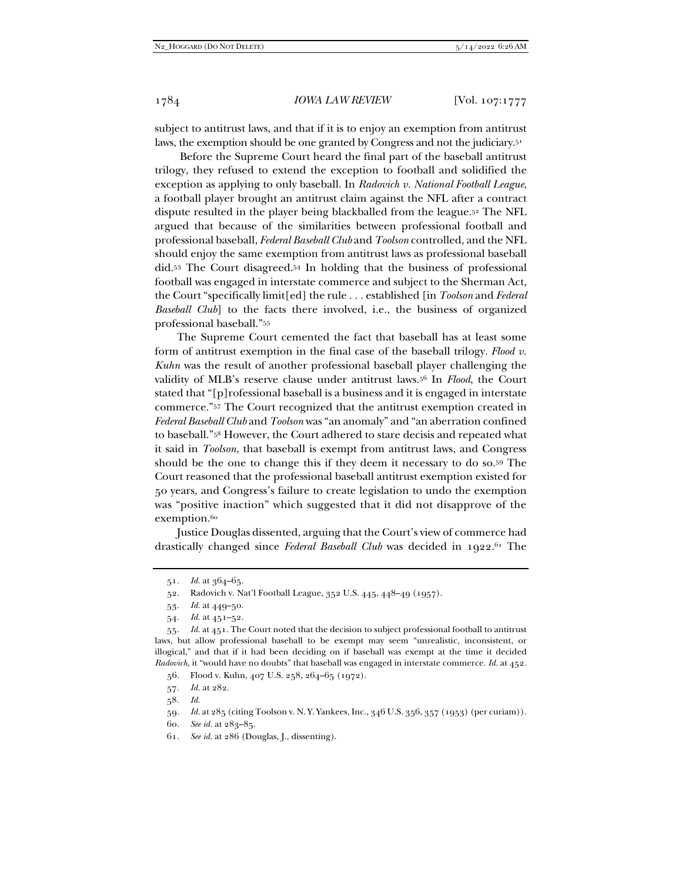subject to antitrust laws, and that if it is to enjoy an exemption from antitrust laws, the exemption should be one granted by Congress and not the judiciary.51

 Before the Supreme Court heard the final part of the baseball antitrust trilogy, they refused to extend the exception to football and solidified the exception as applying to only baseball. In *Radovich v. National Football League*, a football player brought an antitrust claim against the NFL after a contract dispute resulted in the player being blackballed from the league.52 The NFL argued that because of the similarities between professional football and professional baseball, *Federal Baseball Club* and *Toolson* controlled, and the NFL should enjoy the same exemption from antitrust laws as professional baseball did.53 The Court disagreed.54 In holding that the business of professional football was engaged in interstate commerce and subject to the Sherman Act, the Court "specifically limit[ed] the rule . . . established [in *Toolson* and *Federal Baseball Club*] to the facts there involved, i.e., the business of organized professional baseball."55

The Supreme Court cemented the fact that baseball has at least some form of antitrust exemption in the final case of the baseball trilogy. *Flood v. Kuhn* was the result of another professional baseball player challenging the validity of MLB's reserve clause under antitrust laws.56 In *Flood*, the Court stated that "[p]rofessional baseball is a business and it is engaged in interstate commerce."57 The Court recognized that the antitrust exemption created in *Federal Baseball Club* and *Toolson* was "an anomaly" and "an aberration confined to baseball."58 However, the Court adhered to stare decisis and repeated what it said in *Toolson*, that baseball is exempt from antitrust laws, and Congress should be the one to change this if they deem it necessary to do so.59 The Court reasoned that the professional baseball antitrust exemption existed for 50 years, and Congress's failure to create legislation to undo the exemption was "positive inaction" which suggested that it did not disapprove of the exemption.<sup>60</sup>

Justice Douglas dissented, arguing that the Court's view of commerce had drastically changed since *Federal Baseball Club* was decided in 1922.<sup>61</sup> The

- 57*. Id.* at 282.
- 58*. Id.*
- 59*. Id.* at 285 (citing Toolson v. N. Y. Yankees, Inc., 346 U.S. 356, 357 (1953) (per curiam)).
- 60*. See id.* at 283–85.
- 61*. See id.* at 286 (Douglas, J., dissenting).

<sup>51</sup>*. Id.* at 364–65.

 <sup>52.</sup> Radovich v. Nat'l Football League, 352 U.S. 445, 448–49 (1957).

<sup>53</sup>*. Id.* at 449–50.

<sup>54</sup>*. Id.* at 451–52.

<sup>55</sup>*. Id.* at 451. The Court noted that the decision to subject professional football to antitrust laws, but allow professional baseball to be exempt may seem "unrealistic, inconsistent, or illogical," and that if it had been deciding on if baseball was exempt at the time it decided *Radovich*, it "would have no doubts" that baseball was engaged in interstate commerce. *Id.* at 452.

 <sup>56.</sup> Flood v. Kuhn, 407 U.S. 258, 264–65 (1972).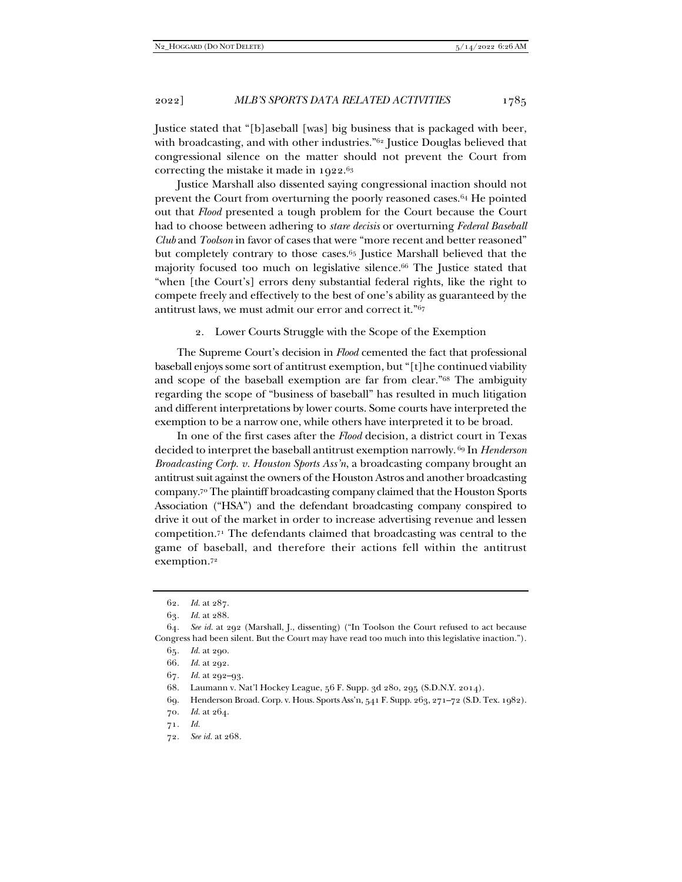Justice stated that "[b]aseball [was] big business that is packaged with beer, with broadcasting, and with other industries."<sup>62</sup> Justice Douglas believed that congressional silence on the matter should not prevent the Court from correcting the mistake it made in 1922.63

Justice Marshall also dissented saying congressional inaction should not prevent the Court from overturning the poorly reasoned cases.64 He pointed out that *Flood* presented a tough problem for the Court because the Court had to choose between adhering to *stare decisis* or overturning *Federal Baseball Club* and *Toolson* in favor of cases that were "more recent and better reasoned" but completely contrary to those cases.65 Justice Marshall believed that the majority focused too much on legislative silence.66 The Justice stated that "when [the Court's] errors deny substantial federal rights, like the right to compete freely and effectively to the best of one's ability as guaranteed by the antitrust laws, we must admit our error and correct it."67

2. Lower Courts Struggle with the Scope of the Exemption

The Supreme Court's decision in *Flood* cemented the fact that professional baseball enjoys some sort of antitrust exemption, but "[t]he continued viability and scope of the baseball exemption are far from clear."68 The ambiguity regarding the scope of "business of baseball" has resulted in much litigation and different interpretations by lower courts. Some courts have interpreted the exemption to be a narrow one, while others have interpreted it to be broad.

In one of the first cases after the *Flood* decision, a district court in Texas decided to interpret the baseball antitrust exemption narrowly. 69 In *Henderson Broadcasting Corp. v. Houston Sports Ass'n*, a broadcasting company brought an antitrust suit against the owners of the Houston Astros and another broadcasting company.70 The plaintiff broadcasting company claimed that the Houston Sports Association ("HSA") and the defendant broadcasting company conspired to drive it out of the market in order to increase advertising revenue and lessen competition.71 The defendants claimed that broadcasting was central to the game of baseball, and therefore their actions fell within the antitrust exemption.72

72*. See id.* at 268*.*

<sup>62</sup>*. Id.* at 287.

<sup>63</sup>*. Id.* at 288.

<sup>64</sup>*. See id.* at 292 (Marshall, J., dissenting) ("In Toolson the Court refused to act because Congress had been silent. But the Court may have read too much into this legislative inaction.").

<sup>65</sup>*. Id.* at 290.

<sup>66</sup>*. Id.* at 292.

<sup>67</sup>*. Id.* at 292–93.

 <sup>68.</sup> Laumann v. Nat'l Hockey League, 56 F. Supp. 3d 280, 295 (S.D.N.Y. 2014).

 <sup>69.</sup> Henderson Broad. Corp. v. Hous. Sports Ass'n, 541 F. Supp. 263, 271–72 (S.D. Tex. 1982).

<sup>70</sup>*. Id.* at 264.

<sup>71</sup>*. Id.*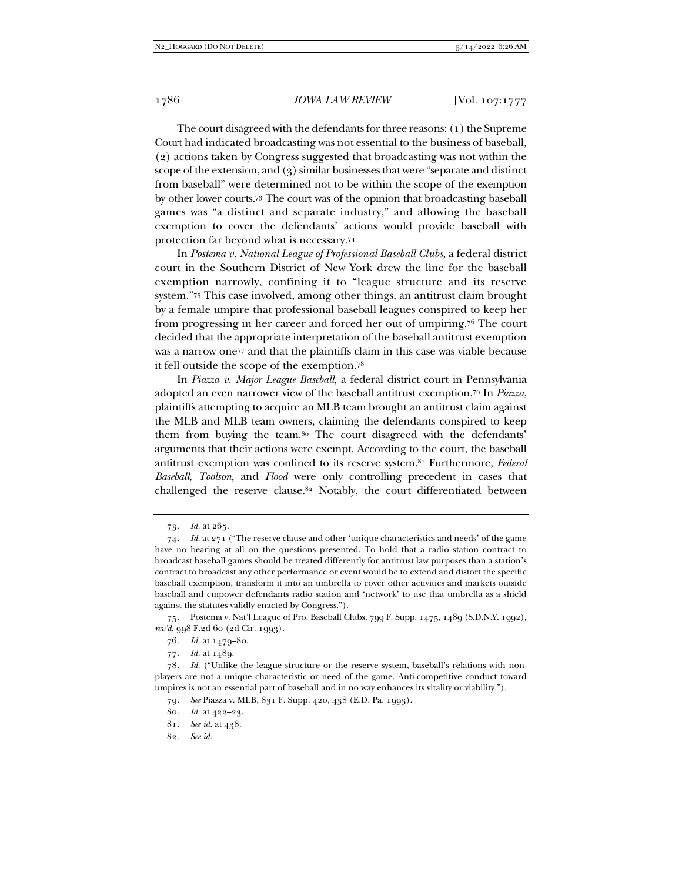The court disagreed with the defendants for three reasons: (1) the Supreme Court had indicated broadcasting was not essential to the business of baseball, (2) actions taken by Congress suggested that broadcasting was not within the scope of the extension, and (3) similar businesses that were "separate and distinct from baseball" were determined not to be within the scope of the exemption by other lower courts.73 The court was of the opinion that broadcasting baseball games was "a distinct and separate industry," and allowing the baseball exemption to cover the defendants' actions would provide baseball with protection far beyond what is necessary.74

In *Postema v. National League of Professional Baseball Clubs*, a federal district court in the Southern District of New York drew the line for the baseball exemption narrowly, confining it to "league structure and its reserve system."75 This case involved, among other things, an antitrust claim brought by a female umpire that professional baseball leagues conspired to keep her from progressing in her career and forced her out of umpiring.76 The court decided that the appropriate interpretation of the baseball antitrust exemption was a narrow one<sup>77</sup> and that the plaintiffs claim in this case was viable because it fell outside the scope of the exemption.78

In *Piazza v. Major League Baseball*, a federal district court in Pennsylvania adopted an even narrower view of the baseball antitrust exemption.79 In *Piazza*, plaintiffs attempting to acquire an MLB team brought an antitrust claim against the MLB and MLB team owners, claiming the defendants conspired to keep them from buying the team.80 The court disagreed with the defendants' arguments that their actions were exempt. According to the court, the baseball antitrust exemption was confined to its reserve system.81 Furthermore, *Federal Baseball*, *Toolson*, and *Flood* were only controlling precedent in cases that challenged the reserve clause.82 Notably, the court differentiated between

<sup>73</sup>*. Id.* at 265.

<sup>74</sup>*. Id.* at 271 ("The reserve clause and other 'unique characteristics and needs' of the game have no bearing at all on the questions presented. To hold that a radio station contract to broadcast baseball games should be treated differently for antitrust law purposes than a station's contract to broadcast any other performance or event would be to extend and distort the specific baseball exemption, transform it into an umbrella to cover other activities and markets outside baseball and empower defendants radio station and 'network' to use that umbrella as a shield against the statutes validly enacted by Congress.").

 <sup>75.</sup> Postema v. Nat'l League of Pro. Baseball Clubs, 799 F. Supp. 1475, 1489 (S.D.N.Y. 1992), *rev'd*, 998 F.2d 60 (2d Cir. 1993).

<sup>76</sup>*. Id.* at 1479–80.

<sup>77</sup>*. Id.* at 1489.

<sup>78</sup>*. Id.* ("Unlike the league structure or the reserve system, baseball's relations with nonplayers are not a unique characteristic or need of the game. Anti-competitive conduct toward umpires is not an essential part of baseball and in no way enhances its vitality or viability.").

<sup>79</sup>*. See* Piazza v. MLB, 831 F. Supp. 420, 438 (E.D. Pa. 1993).

<sup>80</sup>*. Id.* at 422–23.

<sup>81</sup>*. See id.* at 438.

<sup>82</sup>*. See id.*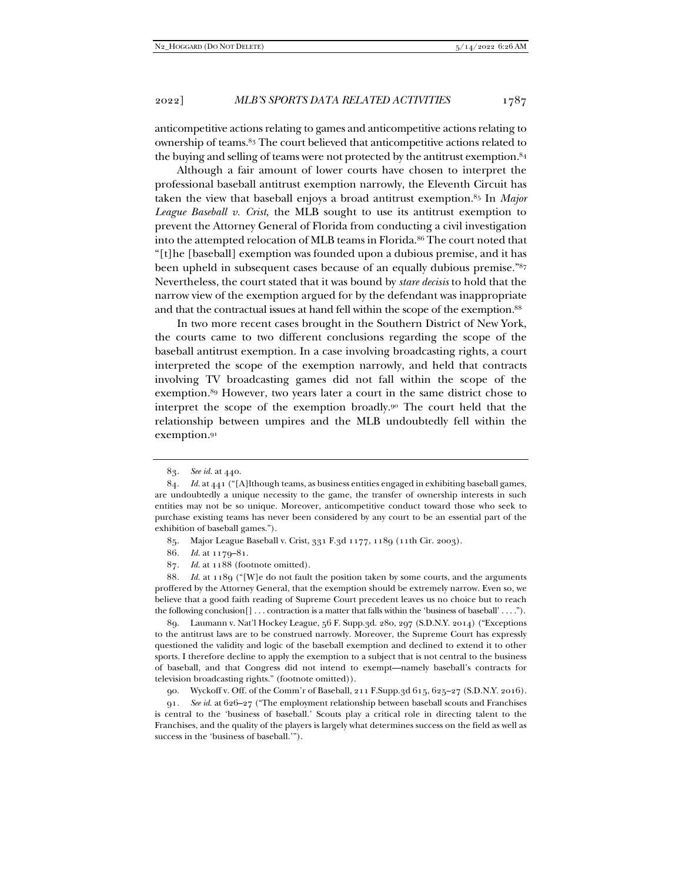anticompetitive actions relating to games and anticompetitive actions relating to ownership of teams.83 The court believed that anticompetitive actions related to the buying and selling of teams were not protected by the antitrust exemption.<sup>84</sup>

Although a fair amount of lower courts have chosen to interpret the professional baseball antitrust exemption narrowly, the Eleventh Circuit has taken the view that baseball enjoys a broad antitrust exemption.85 In *Major League Baseball v. Crist*, the MLB sought to use its antitrust exemption to prevent the Attorney General of Florida from conducting a civil investigation into the attempted relocation of MLB teams in Florida.<sup>86</sup> The court noted that "[t]he [baseball] exemption was founded upon a dubious premise, and it has been upheld in subsequent cases because of an equally dubious premise."87 Nevertheless, the court stated that it was bound by *stare decisis* to hold that the narrow view of the exemption argued for by the defendant was inappropriate and that the contractual issues at hand fell within the scope of the exemption.<sup>88</sup>

In two more recent cases brought in the Southern District of New York, the courts came to two different conclusions regarding the scope of the baseball antitrust exemption. In a case involving broadcasting rights, a court interpreted the scope of the exemption narrowly, and held that contracts involving TV broadcasting games did not fall within the scope of the exemption.89 However, two years later a court in the same district chose to interpret the scope of the exemption broadly. $9^{\circ}$  The court held that the relationship between umpires and the MLB undoubtedly fell within the exemption.91

90. Wyckoff v. Off. of the Comm'r of Baseball, 211 F.Supp.3d 615, 625–27 (S.D.N.Y. 2016).

91*. See id.* at 626–27 ("The employment relationship between baseball scouts and Franchises is central to the 'business of baseball.' Scouts play a critical role in directing talent to the Franchises, and the quality of the players is largely what determines success on the field as well as success in the 'business of baseball.'").

<sup>83</sup>*. See id.* at 440.

<sup>84</sup>*. Id.* at 441 ("[A]lthough teams, as business entities engaged in exhibiting baseball games, are undoubtedly a unique necessity to the game, the transfer of ownership interests in such entities may not be so unique. Moreover, anticompetitive conduct toward those who seek to purchase existing teams has never been considered by any court to be an essential part of the exhibition of baseball games.").

 <sup>85.</sup> Major League Baseball v. Crist, 331 F.3d 1177, 1189 (11th Cir. 2003).

<sup>86</sup>*. Id.* at 1179–81.

<sup>87</sup>*. Id.* at 1188 (footnote omitted).

<sup>88</sup>*. Id.* at 1189 ("[W]e do not fault the position taken by some courts, and the arguments proffered by the Attorney General, that the exemption should be extremely narrow. Even so, we believe that a good faith reading of Supreme Court precedent leaves us no choice but to reach the following conclusion[] . . . contraction is a matter that falls within the 'business of baseball' . . . .").

 <sup>89.</sup> Laumann v. Nat'l Hockey League, 56 F. Supp.3d. 280, 297 (S.D.N.Y. 2014) ("Exceptions to the antitrust laws are to be construed narrowly. Moreover, the Supreme Court has expressly questioned the validity and logic of the baseball exemption and declined to extend it to other sports. I therefore decline to apply the exemption to a subject that is not central to the business of baseball, and that Congress did not intend to exempt—namely baseball's contracts for television broadcasting rights." (footnote omitted)).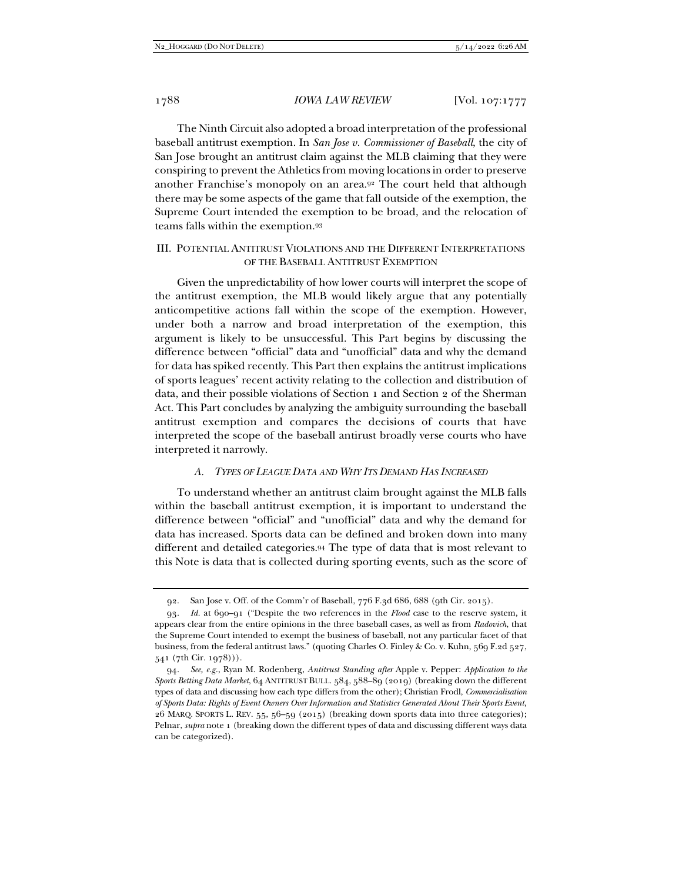The Ninth Circuit also adopted a broad interpretation of the professional baseball antitrust exemption. In *San Jose v. Commissioner of Baseball*, the city of San Jose brought an antitrust claim against the MLB claiming that they were conspiring to prevent the Athletics from moving locations in order to preserve another Franchise's monopoly on an area.92 The court held that although there may be some aspects of the game that fall outside of the exemption, the Supreme Court intended the exemption to be broad, and the relocation of teams falls within the exemption.93

## III. POTENTIAL ANTITRUST VIOLATIONS AND THE DIFFERENT INTERPRETATIONS OF THE BASEBALL ANTITRUST EXEMPTION

Given the unpredictability of how lower courts will interpret the scope of the antitrust exemption, the MLB would likely argue that any potentially anticompetitive actions fall within the scope of the exemption. However, under both a narrow and broad interpretation of the exemption, this argument is likely to be unsuccessful. This Part begins by discussing the difference between "official" data and "unofficial" data and why the demand for data has spiked recently. This Part then explains the antitrust implications of sports leagues' recent activity relating to the collection and distribution of data, and their possible violations of Section 1 and Section 2 of the Sherman Act. This Part concludes by analyzing the ambiguity surrounding the baseball antitrust exemption and compares the decisions of courts that have interpreted the scope of the baseball antirust broadly verse courts who have interpreted it narrowly.

## *A. TYPES OF LEAGUE DATA AND WHY ITS DEMAND HAS INCREASED*

To understand whether an antitrust claim brought against the MLB falls within the baseball antitrust exemption, it is important to understand the difference between "official" and "unofficial" data and why the demand for data has increased. Sports data can be defined and broken down into many different and detailed categories.94 The type of data that is most relevant to this Note is data that is collected during sporting events, such as the score of

 <sup>92.</sup> San Jose v. Off. of the Comm'r of Baseball, 776 F.3d 686, 688 (9th Cir. 2015).

<sup>93</sup>*. Id.* at 690–91 ("Despite the two references in the *Flood* case to the reserve system, it appears clear from the entire opinions in the three baseball cases, as well as from *Radovich*, that the Supreme Court intended to exempt the business of baseball, not any particular facet of that business, from the federal antitrust laws." (quoting Charles O. Finley & Co. v. Kuhn, 569 F.2d 527, 541 (7th Cir. 1978))).

<sup>94</sup>*. See, e.g.*, Ryan M. Rodenberg, *Antitrust Standing after* Apple v. Pepper: *Application to the Sports Betting Data Market*, 64 ANTITRUST BULL. 584, 588–89 (2019) (breaking down the different types of data and discussing how each type differs from the other); Christian Frodl, *Commercialisation of Sports Data: Rights of Event Owners Over Information and Statistics Generated About Their Sports Event*, 26 MARQ. SPORTS L. REV. 55, 56–59 (2015) (breaking down sports data into three categories); Pelnar, *supra* note 1 (breaking down the different types of data and discussing different ways data can be categorized).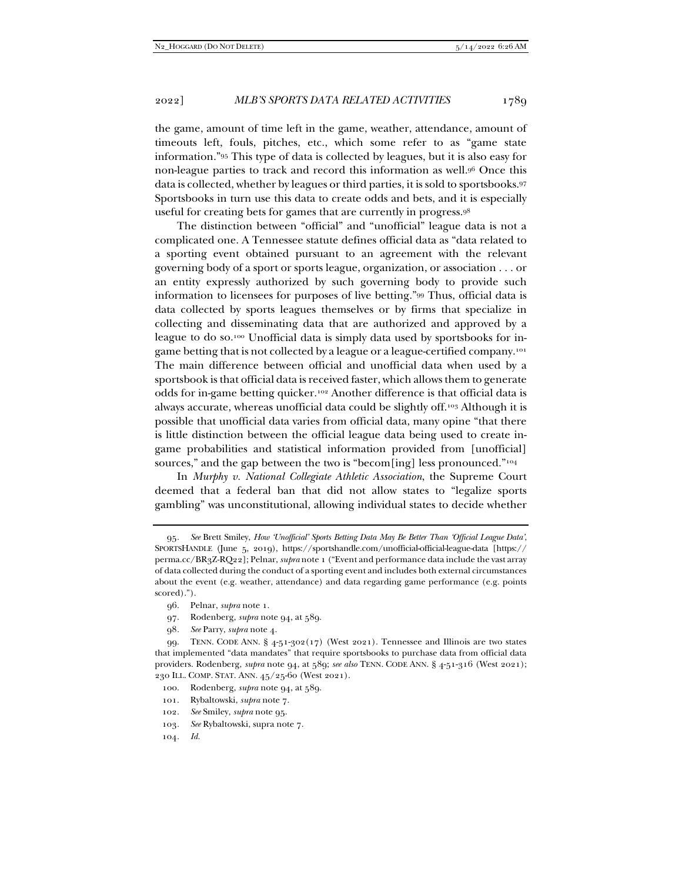the game, amount of time left in the game, weather, attendance, amount of timeouts left, fouls, pitches, etc., which some refer to as "game state information."95 This type of data is collected by leagues, but it is also easy for non-league parties to track and record this information as well.96 Once this data is collected, whether by leagues or third parties, it is sold to sportsbooks.97 Sportsbooks in turn use this data to create odds and bets, and it is especially useful for creating bets for games that are currently in progress.98

The distinction between "official" and "unofficial" league data is not a complicated one. A Tennessee statute defines official data as "data related to a sporting event obtained pursuant to an agreement with the relevant governing body of a sport or sports league, organization, or association . . . or an entity expressly authorized by such governing body to provide such information to licensees for purposes of live betting."99 Thus, official data is data collected by sports leagues themselves or by firms that specialize in collecting and disseminating data that are authorized and approved by a league to do so.100 Unofficial data is simply data used by sportsbooks for ingame betting that is not collected by a league or a league-certified company.<sup>101</sup> The main difference between official and unofficial data when used by a sportsbook is that official data is received faster, which allows them to generate odds for in-game betting quicker.102 Another difference is that official data is always accurate, whereas unofficial data could be slightly off.103 Although it is possible that unofficial data varies from official data, many opine "that there is little distinction between the official league data being used to create ingame probabilities and statistical information provided from [unofficial] sources," and the gap between the two is "becom[ing] less pronounced."<sup>104</sup>

In *Murphy v. National Collegiate Athletic Association*, the Supreme Court deemed that a federal ban that did not allow states to "legalize sports gambling" was unconstitutional, allowing individual states to decide whether

98*. See* Parry, *supra* note 4.

- 101. Rybaltowski, *supra* note 7.
- 102*. See* Smiley, *supra* note 95.
- 103*. See* Rybaltowski, supra note 7.
- 104*. Id.*

<sup>95</sup>*. See* Brett Smiley, *How 'Unofficial' Sports Betting Data May Be Better Than 'Official League Data'*, SPORTSHANDLE (June 5, 2019), https://sportshandle.com/unofficial-official-league-data [https:// perma.cc/BR3Z-RQ22]; Pelnar, *supra* note 1 ("Event and performance data include the vast array of data collected during the conduct of a sporting event and includes both external circumstances about the event (e.g. weather, attendance) and data regarding game performance (e.g. points scored).").

 <sup>96.</sup> Pelnar, *supra* note 1.

 <sup>97.</sup> Rodenberg, *supra* note 94, at 589.

 <sup>99.</sup> TENN. CODE ANN. § 4-51-302(17) (West 2021). Tennessee and Illinois are two states that implemented "data mandates" that require sportsbooks to purchase data from official data providers. Rodenberg, *supra* note 94, at 589; *see also* TENN. CODE ANN. § 4-51-316 (West 2021); 230 ILL. COMP. STAT. ANN. 45/25-60 (West 2021).

 <sup>100.</sup> Rodenberg, *supra* note 94, at 589.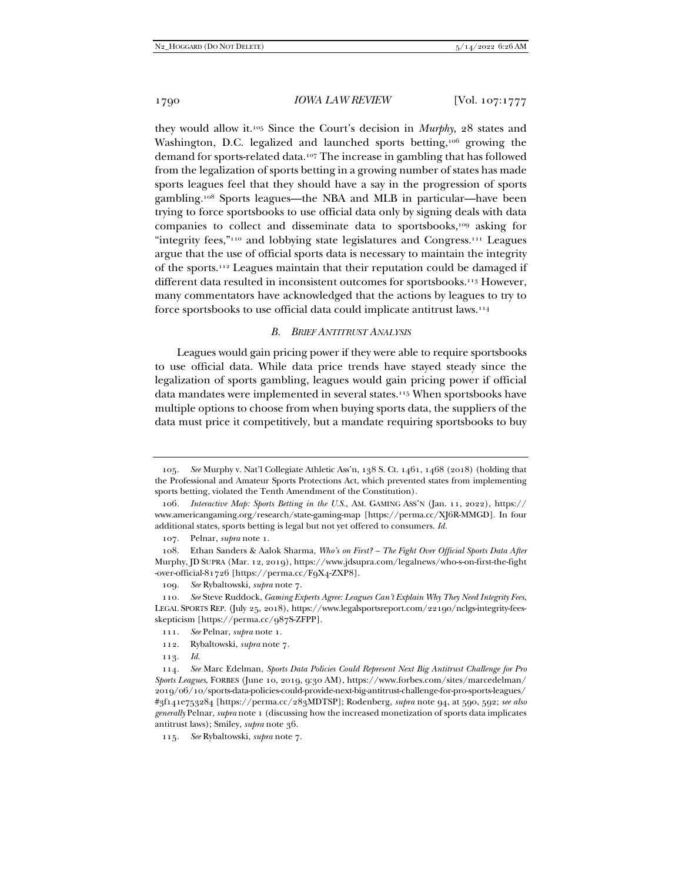they would allow it.105 Since the Court's decision in *Murphy*, 28 states and Washington, D.C. legalized and launched sports betting,<sup>106</sup> growing the demand for sports-related data.107 The increase in gambling that has followed from the legalization of sports betting in a growing number of states has made sports leagues feel that they should have a say in the progression of sports gambling.108 Sports leagues—the NBA and MLB in particular—have been trying to force sportsbooks to use official data only by signing deals with data companies to collect and disseminate data to sportsbooks,<sup>109</sup> asking for "integrity fees,"110 and lobbying state legislatures and Congress.111 Leagues argue that the use of official sports data is necessary to maintain the integrity of the sports.112 Leagues maintain that their reputation could be damaged if different data resulted in inconsistent outcomes for sportsbooks.<sup>113</sup> However, many commentators have acknowledged that the actions by leagues to try to force sportsbooks to use official data could implicate antitrust laws.114

#### *B. BRIEF ANTITRUST ANALYSIS*

Leagues would gain pricing power if they were able to require sportsbooks to use official data. While data price trends have stayed steady since the legalization of sports gambling, leagues would gain pricing power if official data mandates were implemented in several states.115 When sportsbooks have multiple options to choose from when buying sports data, the suppliers of the data must price it competitively, but a mandate requiring sportsbooks to buy

<sup>105</sup>*. See* Murphy v. Nat'l Collegiate Athletic Ass'n, 138 S. Ct. 1461, 1468 (2018) (holding that the Professional and Amateur Sports Protections Act, which prevented states from implementing sports betting, violated the Tenth Amendment of the Constitution).

<sup>106</sup>*. Interactive Map: Sports Betting in the U.S.*, AM. GAMING ASS'N (Jan. 11, 2022), https:// www.americangaming.org/research/state-gaming-map [https://perma.cc/XJ6R-MMGD]. In four additional states, sports betting is legal but not yet offered to consumers. *Id.*

 <sup>107.</sup> Pelnar, *supra* note 1.

 <sup>108.</sup> Ethan Sanders & Aalok Sharma, *Who's on First? – The Fight Over Official Sports Data After*  Murphy, JD SUPRA (Mar. 12, 2019), https://www.jdsupra.com/legalnews/who-s-on-first-the-fight -over-official-81726 [https://perma.cc/F9X4-ZXP8].

<sup>109</sup>*. See* Rybaltowski, *supra* note 7.

<sup>110</sup>*. See* Steve Ruddock, *Gaming Experts Agree: Leagues Can't Explain Why They Need Integrity Fees*, LEGAL SPORTS REP. (July 25, 2018), https://www.legalsportsreport.com/22190/nclgs-integrity-feesskepticism [https://perma.cc/987S-ZFPP].

<sup>111</sup>*. See* Pelnar, *supra* note 1.

 <sup>112.</sup> Rybaltowski, *supra* note 7.

<sup>113</sup>*. Id.*

<sup>114</sup>*. See* Marc Edelman, *Sports Data Policies Could Represent Next Big Antitrust Challenge for Pro Sports Leagues*, FORBES (June 10, 2019, 9:30 AM), https://www.forbes.com/sites/marcedelman/ 2019/06/10/sports-data-policies-could-provide-next-big-antitrust-challenge-for-pro-sports-leagues/ #3f141e753284 [https://perma.cc/283MDTSP]; Rodenberg, *supra* note 94, at 590, 592; *see also generally* Pelnar, *supra* note 1 (discussing how the increased monetization of sports data implicates antitrust laws); Smiley, *supra* note 36.

<sup>115</sup>*. See* Rybaltowski, *supra* note 7.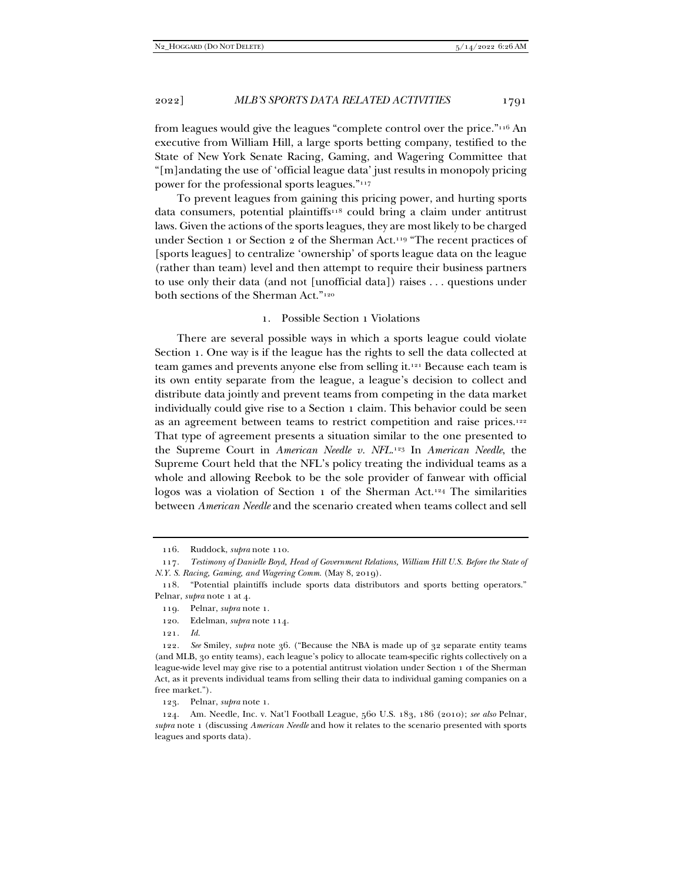from leagues would give the leagues "complete control over the price."116 An executive from William Hill, a large sports betting company, testified to the State of New York Senate Racing, Gaming, and Wagering Committee that "[m]andating the use of 'official league data' just results in monopoly pricing power for the professional sports leagues."117

To prevent leagues from gaining this pricing power, and hurting sports data consumers, potential plaintiffs<sup>118</sup> could bring a claim under antitrust laws. Given the actions of the sports leagues, they are most likely to be charged under Section 1 or Section 2 of the Sherman Act.<sup>119</sup> "The recent practices of [sports leagues] to centralize 'ownership' of sports league data on the league (rather than team) level and then attempt to require their business partners to use only their data (and not [unofficial data]) raises . . . questions under both sections of the Sherman Act."120

## 1. Possible Section 1 Violations

There are several possible ways in which a sports league could violate Section 1. One way is if the league has the rights to sell the data collected at team games and prevents anyone else from selling it.121 Because each team is its own entity separate from the league, a league's decision to collect and distribute data jointly and prevent teams from competing in the data market individually could give rise to a Section 1 claim. This behavior could be seen as an agreement between teams to restrict competition and raise prices.<sup>122</sup> That type of agreement presents a situation similar to the one presented to the Supreme Court in *American Needle v. NFL*.123 In *American Needle*, the Supreme Court held that the NFL's policy treating the individual teams as a whole and allowing Reebok to be the sole provider of fanwear with official logos was a violation of Section 1 of the Sherman Act.124 The similarities between *American Needle* and the scenario created when teams collect and sell

120. Edelman, *supra* note 114.

121*. Id.*

123. Pelnar, *supra* note 1.

 <sup>116.</sup> Ruddock, *supra* note 110.

<sup>117</sup>*. Testimony of Danielle Boyd, Head of Government Relations, William Hill U.S. Before the State of N.Y. S. Racing, Gaming, and Wagering Comm.* (May 8, 2019).

 <sup>118. &</sup>quot;Potential plaintiffs include sports data distributors and sports betting operators." Pelnar, *supra* note 1 at 4.

 <sup>119.</sup> Pelnar, *supra* note 1.

<sup>122</sup>*. See* Smiley, *supra* note 36. ("Because the NBA is made up of 32 separate entity teams (and MLB, 30 entity teams), each league's policy to allocate team-specific rights collectively on a league-wide level may give rise to a potential antitrust violation under Section 1 of the Sherman Act, as it prevents individual teams from selling their data to individual gaming companies on a free market.").

 <sup>124.</sup> Am. Needle, Inc. v. Nat'l Football League, 560 U.S. 183, 186 (2010); *see also* Pelnar, *supra* note 1 (discussing *American Needle* and how it relates to the scenario presented with sports leagues and sports data).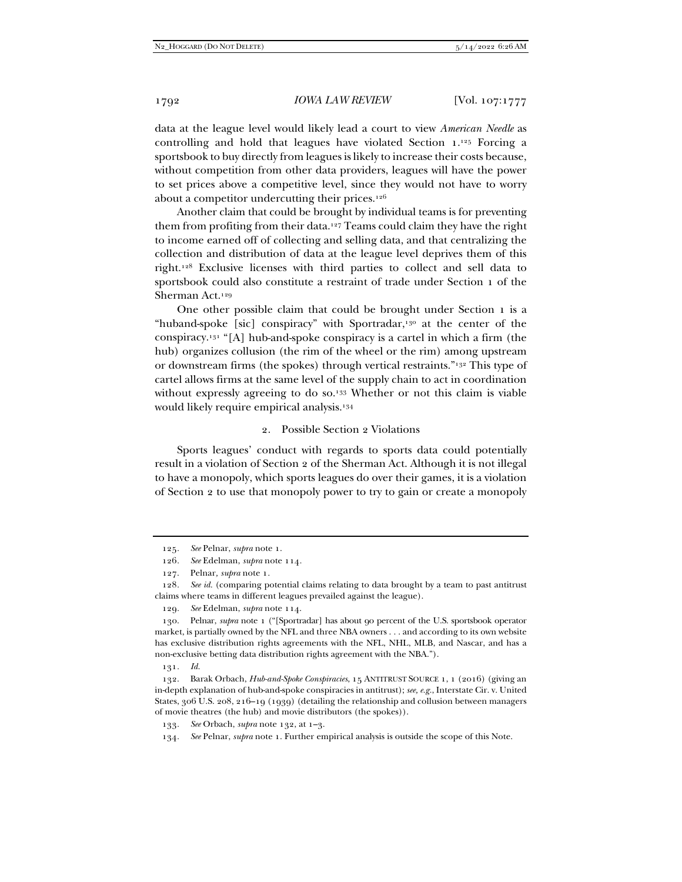data at the league level would likely lead a court to view *American Needle* as controlling and hold that leagues have violated Section 1.125 Forcing a sportsbook to buy directly from leagues is likely to increase their costs because, without competition from other data providers, leagues will have the power to set prices above a competitive level, since they would not have to worry about a competitor undercutting their prices.<sup>126</sup>

Another claim that could be brought by individual teams is for preventing them from profiting from their data.127 Teams could claim they have the right to income earned off of collecting and selling data, and that centralizing the collection and distribution of data at the league level deprives them of this right.128 Exclusive licenses with third parties to collect and sell data to sportsbook could also constitute a restraint of trade under Section 1 of the Sherman Act.129

One other possible claim that could be brought under Section 1 is a "huband-spoke [sic] conspiracy" with Sportradar,<sup>130</sup> at the center of the conspiracy.131 "[A] hub-and-spoke conspiracy is a cartel in which a firm (the hub) organizes collusion (the rim of the wheel or the rim) among upstream or downstream firms (the spokes) through vertical restraints."132 This type of cartel allows firms at the same level of the supply chain to act in coordination without expressly agreeing to do so.<sup>133</sup> Whether or not this claim is viable would likely require empirical analysis.134

#### 2. Possible Section 2 Violations

Sports leagues' conduct with regards to sports data could potentially result in a violation of Section 2 of the Sherman Act. Although it is not illegal to have a monopoly, which sports leagues do over their games, it is a violation of Section 2 to use that monopoly power to try to gain or create a monopoly

131*. Id.*

<sup>125</sup>*. See* Pelnar, *supra* note 1.

<sup>126</sup>*. See* Edelman, *supra* note 114*.* 

 <sup>127.</sup> Pelnar*, supra* note 1*.*

<sup>128</sup>*. See id.* (comparing potential claims relating to data brought by a team to past antitrust claims where teams in different leagues prevailed against the league).

<sup>129</sup>*. See* Edelman, *supra* note 114.

 <sup>130.</sup> Pelnar, *supra* note 1 ("[Sportradar] has about 90 percent of the U.S. sportsbook operator market, is partially owned by the NFL and three NBA owners . . . and according to its own website has exclusive distribution rights agreements with the NFL, NHL, MLB, and Nascar, and has a non-exclusive betting data distribution rights agreement with the NBA.").

 <sup>132.</sup> Barak Orbach, *Hub-and-Spoke Conspiracies*, 15 ANTITRUST SOURCE 1, 1 (2016) (giving an in-depth explanation of hub-and-spoke conspiracies in antitrust); *see, e.g.*, Interstate Cir. v. United States, 306 U.S. 208, 216–19 (1939) (detailing the relationship and collusion between managers of movie theatres (the hub) and movie distributors (the spokes)).

<sup>133</sup>*. See* Orbach, *supra* note 132, at 1–3.

<sup>134</sup>*. See* Pelnar, *supra* note 1. Further empirical analysis is outside the scope of this Note.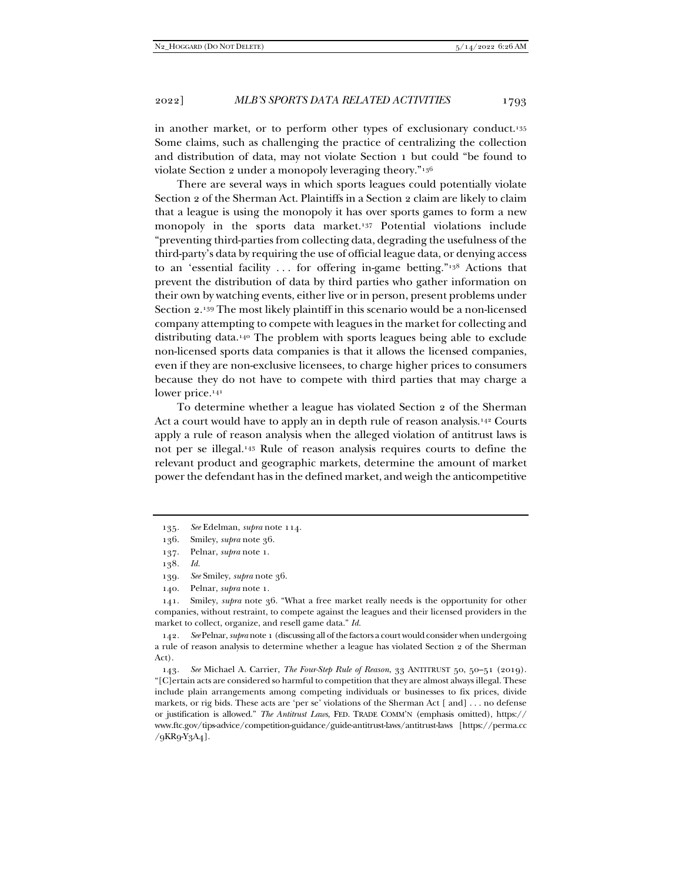in another market, or to perform other types of exclusionary conduct.135 Some claims, such as challenging the practice of centralizing the collection and distribution of data, may not violate Section 1 but could "be found to violate Section 2 under a monopoly leveraging theory."136

There are several ways in which sports leagues could potentially violate Section 2 of the Sherman Act. Plaintiffs in a Section 2 claim are likely to claim that a league is using the monopoly it has over sports games to form a new monopoly in the sports data market.137 Potential violations include "preventing third-parties from collecting data, degrading the usefulness of the third-party's data by requiring the use of official league data, or denying access to an 'essential facility . . . for offering in-game betting."138 Actions that prevent the distribution of data by third parties who gather information on their own by watching events, either live or in person, present problems under Section 2.139 The most likely plaintiff in this scenario would be a non-licensed company attempting to compete with leagues in the market for collecting and distributing data.140 The problem with sports leagues being able to exclude non-licensed sports data companies is that it allows the licensed companies, even if they are non-exclusive licensees, to charge higher prices to consumers because they do not have to compete with third parties that may charge a lower price.<sup>141</sup>

To determine whether a league has violated Section 2 of the Sherman Act a court would have to apply an in depth rule of reason analysis.142 Courts apply a rule of reason analysis when the alleged violation of antitrust laws is not per se illegal.143 Rule of reason analysis requires courts to define the relevant product and geographic markets, determine the amount of market power the defendant has in the defined market, and weigh the anticompetitive

<sup>135</sup>*. See* Edelman, *supra* note 114.

 <sup>136.</sup> Smiley, *supra* note 36.

 <sup>137.</sup> Pelnar, *supra* note 1.

<sup>138</sup>*. Id.*

<sup>139</sup>*. See* Smiley, *supra* note 36.

 <sup>140.</sup> Pelnar, *supra* note 1.

 <sup>141.</sup> Smiley, *supra* note 36. "What a free market really needs is the opportunity for other companies, without restraint, to compete against the leagues and their licensed providers in the market to collect, organize, and resell game data." *Id.*

<sup>142</sup>*. See* Pelnar, *supra* note 1 (discussing all of the factors a court would consider when undergoing a rule of reason analysis to determine whether a league has violated Section 2 of the Sherman Act).

<sup>143</sup>*. See* Michael A. Carrier, *The Four-Step Rule of Reason*, 33 ANTITRUST 50, 50–51 (2019). "[C]ertain acts are considered so harmful to competition that they are almost always illegal. These include plain arrangements among competing individuals or businesses to fix prices, divide markets, or rig bids. These acts are 'per se' violations of the Sherman Act [ and] . . . no defense or justification is allowed." *The Antitrust Laws*, FED. TRADE COMM'N (emphasis omitted), https:// www.ftc.gov/tips-advice/competition-guidance/guide-antitrust-laws/antitrust-laws [https://perma.cc /9KR9-Y3A4].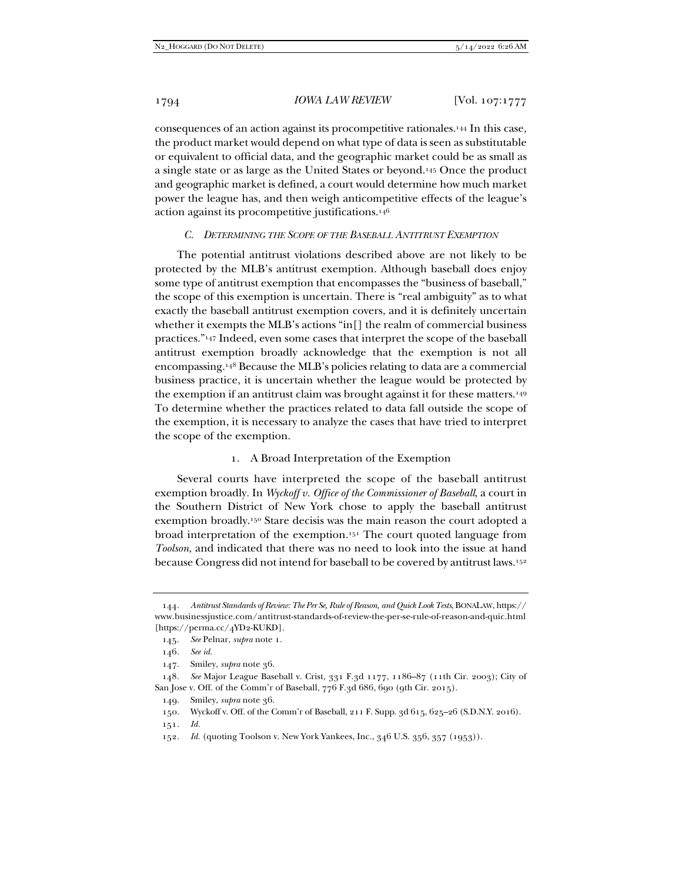consequences of an action against its procompetitive rationales.144 In this case, the product market would depend on what type of data is seen as substitutable or equivalent to official data, and the geographic market could be as small as a single state or as large as the United States or beyond.145 Once the product and geographic market is defined, a court would determine how much market power the league has, and then weigh anticompetitive effects of the league's action against its procompetitive justifications.146

#### *C. DETERMINING THE SCOPE OF THE BASEBALL ANTITRUST EXEMPTION*

The potential antitrust violations described above are not likely to be protected by the MLB's antitrust exemption. Although baseball does enjoy some type of antitrust exemption that encompasses the "business of baseball," the scope of this exemption is uncertain. There is "real ambiguity" as to what exactly the baseball antitrust exemption covers, and it is definitely uncertain whether it exempts the MLB's actions "in[] the realm of commercial business practices."147 Indeed, even some cases that interpret the scope of the baseball antitrust exemption broadly acknowledge that the exemption is not all encompassing.148 Because the MLB's policies relating to data are a commercial business practice, it is uncertain whether the league would be protected by the exemption if an antitrust claim was brought against it for these matters.149 To determine whether the practices related to data fall outside the scope of the exemption, it is necessary to analyze the cases that have tried to interpret the scope of the exemption.

## 1. A Broad Interpretation of the Exemption

Several courts have interpreted the scope of the baseball antitrust exemption broadly. In *Wyckoff v. Office of the Commissioner of Baseball*, a court in the Southern District of New York chose to apply the baseball antitrust exemption broadly.150 Stare decisis was the main reason the court adopted a broad interpretation of the exemption.151 The court quoted language from *Toolson*, and indicated that there was no need to look into the issue at hand because Congress did not intend for baseball to be covered by antitrust laws.152

148*. See* Major League Baseball v. Crist, 331 F.3d 1177, 1186–87 (11th Cir. 2003); City of San Jose v. Off. of the Comm'r of Baseball, 776 F.3d 686, 690 (9th Cir. 2015).

<sup>144</sup>*. Antitrust Standards of Review: The Per Se, Rule of Reason, and Quick Look Tests*, BONALAW, https:// www.businessjustice.com/antitrust-standards-of-review-the-per-se-rule-of-reason-and-quic.html [https://perma.cc/4YD2-KUKD].

<sup>145</sup>*. See* Pelnar, *supra* note 1.

<sup>146</sup>*. See id.*

 <sup>147.</sup> Smiley, *supra* note 36.

 <sup>149.</sup> Smiley, *supra* note 36.

 <sup>150.</sup> Wyckoff v. Off. of the Comm'r of Baseball, 211 F. Supp. 3d 615, 625–26 (S.D.N.Y. 2016).

<sup>151</sup>*. Id.*

<sup>152</sup>*. Id.* (quoting Toolson v. New York Yankees, Inc., 346 U.S. 356, 357 (1953)).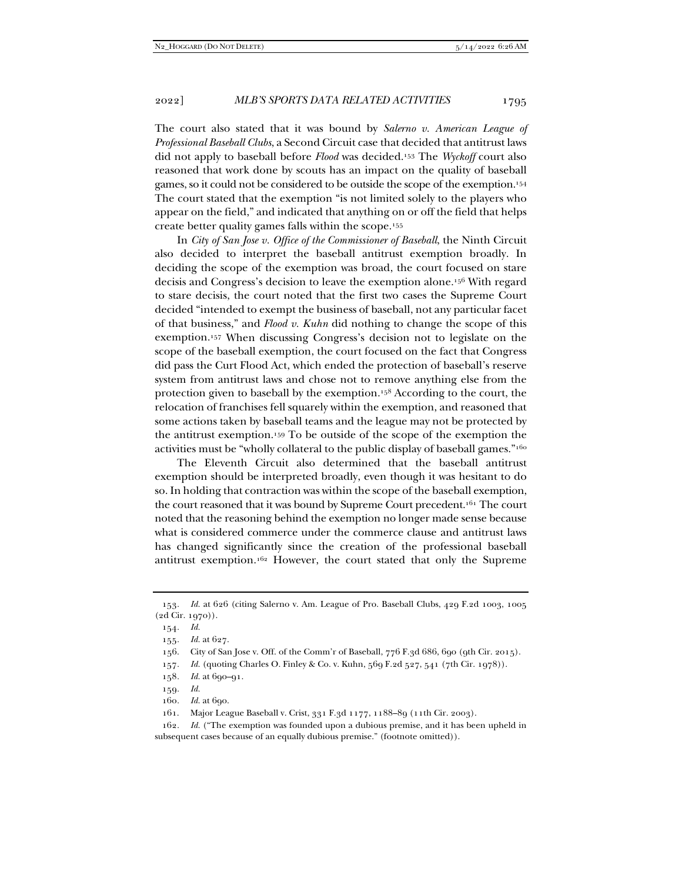The court also stated that it was bound by *Salerno v. American League of Professional Baseball Clubs*, a Second Circuit case that decided that antitrust laws did not apply to baseball before *Flood* was decided.153 The *Wyckoff* court also reasoned that work done by scouts has an impact on the quality of baseball games, so it could not be considered to be outside the scope of the exemption.154 The court stated that the exemption "is not limited solely to the players who appear on the field," and indicated that anything on or off the field that helps create better quality games falls within the scope.155

In *City of San Jose v. Office of the Commissioner of Baseball*, the Ninth Circuit also decided to interpret the baseball antitrust exemption broadly. In deciding the scope of the exemption was broad, the court focused on stare decisis and Congress's decision to leave the exemption alone.156 With regard to stare decisis, the court noted that the first two cases the Supreme Court decided "intended to exempt the business of baseball, not any particular facet of that business," and *Flood v. Kuhn* did nothing to change the scope of this exemption.157 When discussing Congress's decision not to legislate on the scope of the baseball exemption, the court focused on the fact that Congress did pass the Curt Flood Act, which ended the protection of baseball's reserve system from antitrust laws and chose not to remove anything else from the protection given to baseball by the exemption.158 According to the court, the relocation of franchises fell squarely within the exemption, and reasoned that some actions taken by baseball teams and the league may not be protected by the antitrust exemption.159 To be outside of the scope of the exemption the activities must be "wholly collateral to the public display of baseball games."160

The Eleventh Circuit also determined that the baseball antitrust exemption should be interpreted broadly, even though it was hesitant to do so. In holding that contraction was within the scope of the baseball exemption, the court reasoned that it was bound by Supreme Court precedent.161 The court noted that the reasoning behind the exemption no longer made sense because what is considered commerce under the commerce clause and antitrust laws has changed significantly since the creation of the professional baseball antitrust exemption.162 However, the court stated that only the Supreme

160*. Id.* at 690.

<sup>153</sup>*. Id.* at 626 (citing Salerno v. Am. League of Pro. Baseball Clubs, 429 F.2d 1003, 1005 (2d Cir. 1970)).

<sup>154</sup>*. Id.*

<sup>155</sup>*. Id.* at 627.

 <sup>156.</sup> City of San Jose v. Off. of the Comm'r of Baseball, 776 F.3d 686, 690 (9th Cir. 2015).

<sup>157</sup>*. Id.* (quoting Charles O. Finley & Co. v. Kuhn, 569 F.2d 527, 541 (7th Cir. 1978)).

<sup>158</sup>*. Id.* at 690–91.

<sup>159</sup>*. Id.*

 <sup>161.</sup> Major League Baseball v. Crist, 331 F.3d 1177, 1188–89 (11th Cir. 2003).

<sup>162</sup>*. Id.* ("The exemption was founded upon a dubious premise, and it has been upheld in subsequent cases because of an equally dubious premise." (footnote omitted)).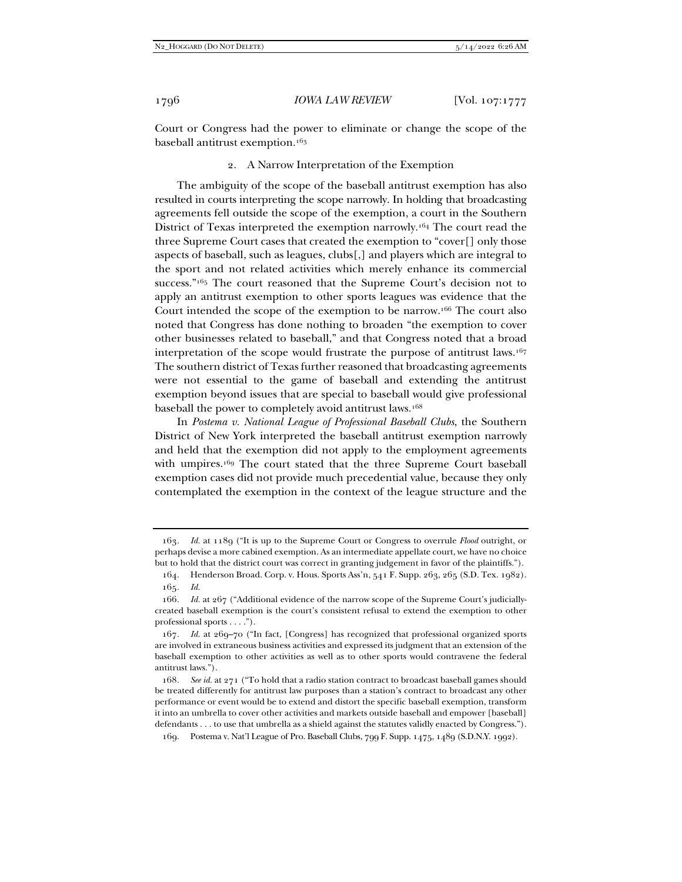Court or Congress had the power to eliminate or change the scope of the baseball antitrust exemption.163

2. A Narrow Interpretation of the Exemption

The ambiguity of the scope of the baseball antitrust exemption has also resulted in courts interpreting the scope narrowly. In holding that broadcasting agreements fell outside the scope of the exemption, a court in the Southern District of Texas interpreted the exemption narrowly.164 The court read the three Supreme Court cases that created the exemption to "cover[] only those aspects of baseball, such as leagues, clubs[,] and players which are integral to the sport and not related activities which merely enhance its commercial success."165 The court reasoned that the Supreme Court's decision not to apply an antitrust exemption to other sports leagues was evidence that the Court intended the scope of the exemption to be narrow.166 The court also noted that Congress has done nothing to broaden "the exemption to cover other businesses related to baseball," and that Congress noted that a broad interpretation of the scope would frustrate the purpose of antitrust laws.167 The southern district of Texas further reasoned that broadcasting agreements were not essential to the game of baseball and extending the antitrust exemption beyond issues that are special to baseball would give professional baseball the power to completely avoid antitrust laws.168

In *Postema v. National League of Professional Baseball Clubs*, the Southern District of New York interpreted the baseball antitrust exemption narrowly and held that the exemption did not apply to the employment agreements with umpires.<sup>169</sup> The court stated that the three Supreme Court baseball exemption cases did not provide much precedential value, because they only contemplated the exemption in the context of the league structure and the

<sup>163</sup>*. Id.* at 1189 ("It is up to the Supreme Court or Congress to overrule *Flood* outright, or perhaps devise a more cabined exemption. As an intermediate appellate court, we have no choice but to hold that the district court was correct in granting judgement in favor of the plaintiffs.").

 <sup>164.</sup> Henderson Broad. Corp. v. Hous. Sports Ass'n, 541 F. Supp. 263, 265 (S.D. Tex. 1982). 165*. Id.*

<sup>166</sup>*. Id.* at 267 ("Additional evidence of the narrow scope of the Supreme Court's judiciallycreated baseball exemption is the court's consistent refusal to extend the exemption to other professional sports . . . .").

<sup>167</sup>*. Id.* at 269–70 ("In fact, [Congress] has recognized that professional organized sports are involved in extraneous business activities and expressed its judgment that an extension of the baseball exemption to other activities as well as to other sports would contravene the federal antitrust laws.").

<sup>168</sup>*. See id.* at 271 ("To hold that a radio station contract to broadcast baseball games should be treated differently for antitrust law purposes than a station's contract to broadcast any other performance or event would be to extend and distort the specific baseball exemption, transform it into an umbrella to cover other activities and markets outside baseball and empower [baseball] defendants . . . to use that umbrella as a shield against the statutes validly enacted by Congress.").

 <sup>169.</sup> Postema v. Nat'l League of Pro. Baseball Clubs, 799 F. Supp. 1475, 1489 (S.D.N.Y. 1992).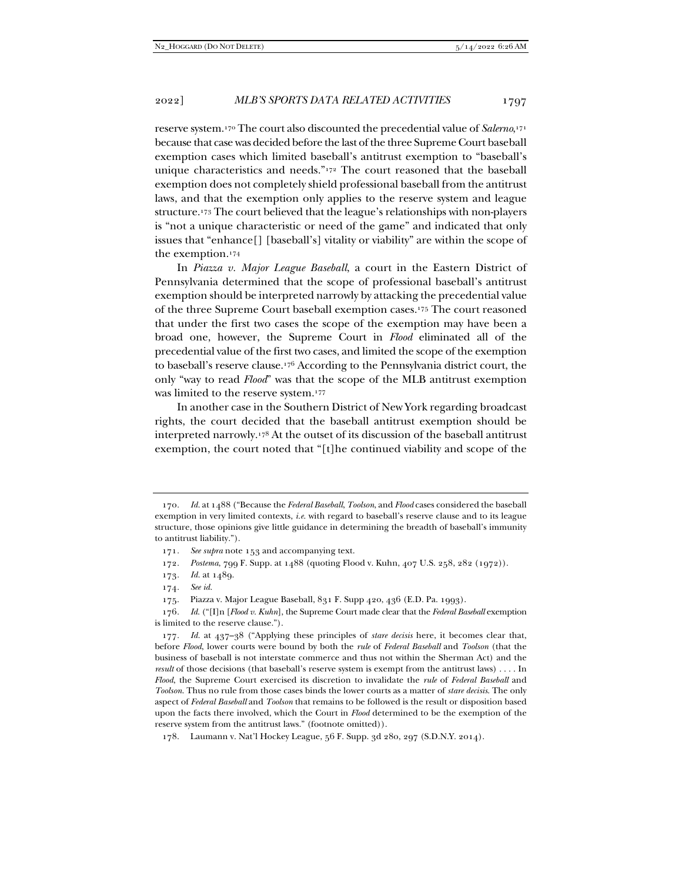reserve system.170 The court also discounted the precedential value of *Salerno*, 171 because that case was decided before the last of the three Supreme Court baseball exemption cases which limited baseball's antitrust exemption to "baseball's unique characteristics and needs."172 The court reasoned that the baseball exemption does not completely shield professional baseball from the antitrust laws, and that the exemption only applies to the reserve system and league structure.173 The court believed that the league's relationships with non-players is "not a unique characteristic or need of the game" and indicated that only issues that "enhance[] [baseball's] vitality or viability" are within the scope of the exemption.174

In *Piazza v. Major League Baseball*, a court in the Eastern District of Pennsylvania determined that the scope of professional baseball's antitrust exemption should be interpreted narrowly by attacking the precedential value of the three Supreme Court baseball exemption cases.175 The court reasoned that under the first two cases the scope of the exemption may have been a broad one, however, the Supreme Court in *Flood* eliminated all of the precedential value of the first two cases, and limited the scope of the exemption to baseball's reserve clause.176 According to the Pennsylvania district court, the only "way to read *Flood*" was that the scope of the MLB antitrust exemption was limited to the reserve system.177

In another case in the Southern District of New York regarding broadcast rights, the court decided that the baseball antitrust exemption should be interpreted narrowly.178 At the outset of its discussion of the baseball antitrust exemption, the court noted that "[t]he continued viability and scope of the

- 173*. Id.* at 1489.
- 174*. See id.*

175. Piazza v. Major League Baseball, 831 F. Supp 420, 436 (E.D. Pa. 1993).

<sup>170</sup>*. Id.* at 1488 ("Because the *Federal Baseball*, *Toolson*, and *Flood* cases considered the baseball exemption in very limited contexts, *i.e.* with regard to baseball's reserve clause and to its league structure, those opinions give little guidance in determining the breadth of baseball's immunity to antitrust liability.").

<sup>171</sup>*. See supra* note 153 and accompanying text.

<sup>172</sup>*. Postema*, 799 F. Supp. at 1488 (quoting Flood v. Kuhn, 407 U.S. 258, 282 (1972)).

<sup>176</sup>*. Id.* ("[I]n [*Flood v. Kuhn*], the Supreme Court made clear that the *Federal Baseball* exemption is limited to the reserve clause.").

<sup>177</sup>*. Id.* at 437–38 ("Applying these principles of *stare decisis* here, it becomes clear that, before *Flood*, lower courts were bound by both the *rule* of *Federal Baseball* and *Toolson* (that the business of baseball is not interstate commerce and thus not within the Sherman Act) and the *result* of those decisions (that baseball's reserve system is exempt from the antitrust laws) . . . . In *Flood*, the Supreme Court exercised its discretion to invalidate the *rule* of *Federal Baseball* and *Toolson*. Thus no rule from those cases binds the lower courts as a matter of *stare decisis*. The only aspect of *Federal Baseball* and *Toolson* that remains to be followed is the result or disposition based upon the facts there involved, which the Court in *Flood* determined to be the exemption of the reserve system from the antitrust laws." (footnote omitted)).

 <sup>178.</sup> Laumann v. Nat'l Hockey League, 56 F. Supp. 3d 280, 297 (S.D.N.Y. 2014).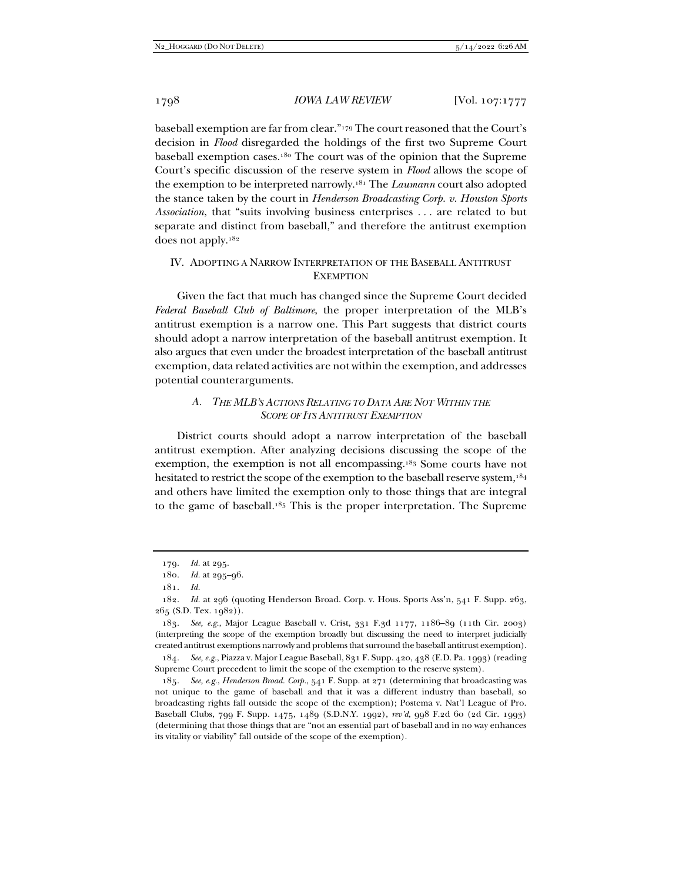baseball exemption are far from clear."179 The court reasoned that the Court's decision in *Flood* disregarded the holdings of the first two Supreme Court baseball exemption cases.180 The court was of the opinion that the Supreme Court's specific discussion of the reserve system in *Flood* allows the scope of the exemption to be interpreted narrowly.181 The *Laumann* court also adopted the stance taken by the court in *Henderson Broadcasting Corp. v. Houston Sports Association*, that "suits involving business enterprises . . . are related to but separate and distinct from baseball," and therefore the antitrust exemption does not apply.182

## IV. ADOPTING A NARROW INTERPRETATION OF THE BASEBALL ANTITRUST **EXEMPTION**

Given the fact that much has changed since the Supreme Court decided *Federal Baseball Club of Baltimore*, the proper interpretation of the MLB's antitrust exemption is a narrow one. This Part suggests that district courts should adopt a narrow interpretation of the baseball antitrust exemption. It also argues that even under the broadest interpretation of the baseball antitrust exemption, data related activities are not within the exemption, and addresses potential counterarguments.

## *A. THE MLB'S ACTIONS RELATING TO DATA ARE NOT WITHIN THE SCOPE OF ITS ANTITRUST EXEMPTION*

District courts should adopt a narrow interpretation of the baseball antitrust exemption. After analyzing decisions discussing the scope of the exemption, the exemption is not all encompassing.183 Some courts have not hesitated to restrict the scope of the exemption to the baseball reserve system,<sup>184</sup> and others have limited the exemption only to those things that are integral to the game of baseball.185 This is the proper interpretation. The Supreme

183*. See, e.g.*, Major League Baseball v. Crist, 331 F.3d 1177, 1186–89 (11th Cir. 2003) (interpreting the scope of the exemption broadly but discussing the need to interpret judicially created antitrust exemptions narrowly and problems that surround the baseball antitrust exemption).

184*. See, e.g.*, Piazza v. Major League Baseball, 831 F. Supp. 420, 438 (E.D. Pa. 1993) (reading Supreme Court precedent to limit the scope of the exemption to the reserve system).

185*. See, e.g.*, *Henderson Broad. Corp.*, 541 F. Supp. at 271 (determining that broadcasting was not unique to the game of baseball and that it was a different industry than baseball, so broadcasting rights fall outside the scope of the exemption); Postema v. Nat'l League of Pro. Baseball Clubs, 799 F. Supp. 1475, 1489 (S.D.N.Y. 1992), *rev'd*, 998 F.2d 60 (2d Cir. 1993) (determining that those things that are "not an essential part of baseball and in no way enhances its vitality or viability" fall outside of the scope of the exemption).

<sup>179</sup>*. Id.* at 295.

<sup>180</sup>*. Id.* at 295–96.

<sup>181</sup>*. Id.*

<sup>182</sup>*. Id.* at 296 (quoting Henderson Broad. Corp. v. Hous. Sports Ass'n, 541 F. Supp. 263, 265 (S.D. Tex. 1982)).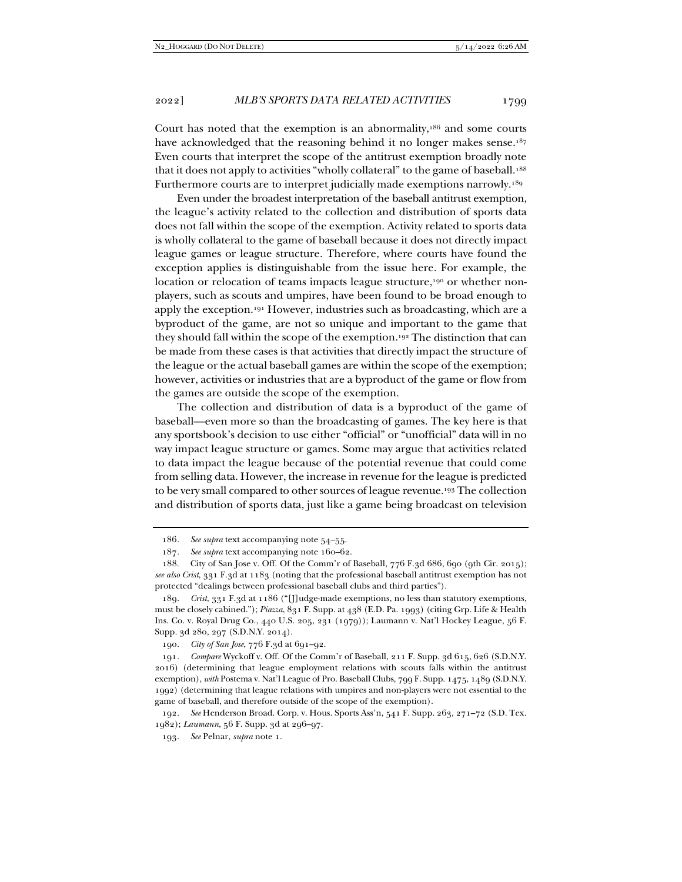Court has noted that the exemption is an abnormality,186 and some courts have acknowledged that the reasoning behind it no longer makes sense.<sup>187</sup> Even courts that interpret the scope of the antitrust exemption broadly note that it does not apply to activities "wholly collateral" to the game of baseball.<sup>188</sup> Furthermore courts are to interpret judicially made exemptions narrowly.<sup>189</sup>

Even under the broadest interpretation of the baseball antitrust exemption, the league's activity related to the collection and distribution of sports data does not fall within the scope of the exemption. Activity related to sports data is wholly collateral to the game of baseball because it does not directly impact league games or league structure. Therefore, where courts have found the exception applies is distinguishable from the issue here. For example, the location or relocation of teams impacts league structure,<sup>190</sup> or whether nonplayers, such as scouts and umpires, have been found to be broad enough to apply the exception.191 However, industries such as broadcasting, which are a byproduct of the game, are not so unique and important to the game that they should fall within the scope of the exemption.192 The distinction that can be made from these cases is that activities that directly impact the structure of the league or the actual baseball games are within the scope of the exemption; however, activities or industries that are a byproduct of the game or flow from the games are outside the scope of the exemption.

The collection and distribution of data is a byproduct of the game of baseball—even more so than the broadcasting of games. The key here is that any sportsbook's decision to use either "official" or "unofficial" data will in no way impact league structure or games. Some may argue that activities related to data impact the league because of the potential revenue that could come from selling data. However, the increase in revenue for the league is predicted to be very small compared to other sources of league revenue.193 The collection and distribution of sports data, just like a game being broadcast on television

<sup>186</sup>*. See supra* text accompanying note 54–55.

<sup>187</sup>*. See supra* text accompanying note 160–62.

 <sup>188.</sup> City of San Jose v. Off. Of the Comm'r of Baseball, 776 F.3d 686, 690 (9th Cir. 2015); *see also Crist*, 331 F.3d at 1183 (noting that the professional baseball antitrust exemption has not protected "dealings between professional baseball clubs and third parties").

<sup>189</sup>*. Crist*, 331 F.3d at 1186 ("[J]udge-made exemptions, no less than statutory exemptions, must be closely cabined."); *Piazza*, 831 F. Supp. at 438 (E.D. Pa. 1993) (citing Grp. Life & Health Ins. Co. v. Royal Drug Co., 440 U.S. 205, 231 (1979)); Laumann v. Nat'l Hockey League, 56 F. Supp. 3d 280, 297 (S.D.N.Y. 2014).

<sup>190</sup>*. City of San Jose*, 776 F.3d at 691–92.

<sup>191</sup>*. Compare* Wyckoff v. Off. Of the Comm'r of Baseball, 211 F. Supp. 3d 615, 626 (S.D.N.Y. 2016) (determining that league employment relations with scouts falls within the antitrust exemption), *with* Postema v. Nat'l League of Pro. Baseball Clubs, 799 F. Supp. 1475, 1489 (S.D.N.Y. 1992) (determining that league relations with umpires and non-players were not essential to the game of baseball, and therefore outside of the scope of the exemption).

<sup>192</sup>*. See* Henderson Broad. Corp. v. Hous. Sports Ass'n, 541 F. Supp. 263, 271–72 (S.D. Tex. 1982); *Laumann*, 56 F. Supp. 3d at 296–97.

<sup>193</sup>*. See* Pelnar, *supra* note 1.